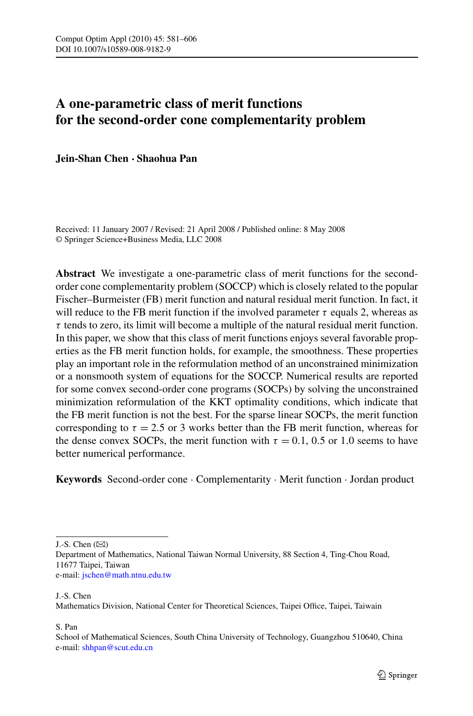# **A one-parametric class of merit functions for the second-order cone complementarity problem**

**Jein-Shan Chen · Shaohua Pan**

Received: 11 January 2007 / Revised: 21 April 2008 / Published online: 8 May 2008 © Springer Science+Business Media, LLC 2008

**Abstract** We investigate a one-parametric class of merit functions for the secondorder cone complementarity problem (SOCCP) which is closely related to the popular Fischer–Burmeister (FB) merit function and natural residual merit function. In fact, it will reduce to the FB merit function if the involved parameter  $\tau$  equals 2, whereas as *τ* tends to zero, its limit will become a multiple of the natural residual merit function. In this paper, we show that this class of merit functions enjoys several favorable properties as the FB merit function holds, for example, the smoothness. These properties play an important role in the reformulation method of an unconstrained minimization or a nonsmooth system of equations for the SOCCP. Numerical results are reported for some convex second-order cone programs (SOCPs) by solving the unconstrained minimization reformulation of the KKT optimality conditions, which indicate that the FB merit function is not the best. For the sparse linear SOCPs, the merit function corresponding to  $\tau = 2.5$  or 3 works better than the FB merit function, whereas for the dense convex SOCPs, the merit function with  $\tau = 0.1$ , 0.5 or 1.0 seems to have better numerical performance.

**Keywords** Second-order cone · Complementarity · Merit function · Jordan product

J.-S. Chen  $(\boxtimes)$ 

J.-S. Chen

Mathematics Division, National Center for Theoretical Sciences, Taipei Office, Taipei, Taiwain

S. Pan

Department of Mathematics, National Taiwan Normal University, 88 Section 4, Ting-Chou Road, 11677 Taipei, Taiwan e-mail: [jschen@math.ntnu.edu.tw](mailto:jschen@math.ntnu.edu.tw)

School of Mathematical Sciences, South China University of Technology, Guangzhou 510640, China e-mail: [shhpan@scut.edu.cn](mailto:shhpan@scut.edu.cn)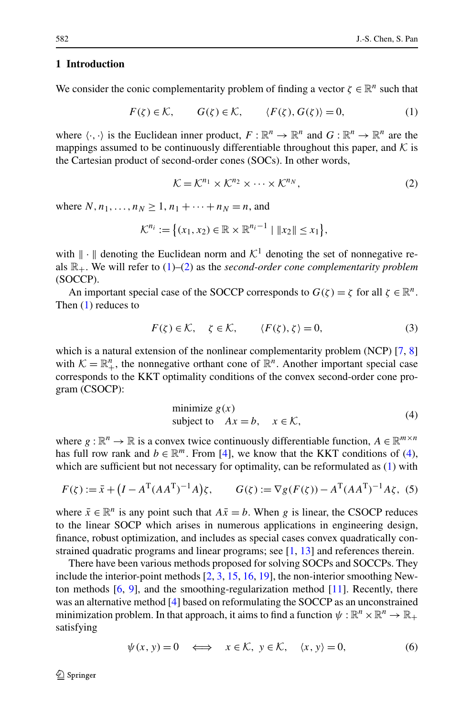## <span id="page-1-0"></span>**1 Introduction**

We consider the conic complementarity problem of finding a vector  $\zeta \in \mathbb{R}^n$  such that

$$
F(\zeta) \in \mathcal{K}, \qquad G(\zeta) \in \mathcal{K}, \qquad \langle F(\zeta), G(\zeta) \rangle = 0, \tag{1}
$$

where  $\langle \cdot, \cdot \rangle$  is the Euclidean inner product,  $F : \mathbb{R}^n \to \mathbb{R}^n$  and  $G : \mathbb{R}^n \to \mathbb{R}^n$  are the mappings assumed to be continuously differentiable throughout this paper, and  $K$  is the Cartesian product of second-order cones (SOCs). In other words,

$$
\mathcal{K} = \mathcal{K}^{n_1} \times \mathcal{K}^{n_2} \times \cdots \times \mathcal{K}^{n_N},\tag{2}
$$

where  $N, n_1, ..., n_N > 1, n_1 + ... + n_N = n$ , and

$$
\mathcal{K}^{n_i} := \{ (x_1, x_2) \in \mathbb{R} \times \mathbb{R}^{n_i - 1} \mid ||x_2|| \le x_1 \},\
$$

with  $\|\cdot\|$  denoting the Euclidean norm and  $\mathcal{K}^1$  denoting the set of nonnegative reals  $\mathbb{R}_+$ . We will refer to  $(1)$ – $(2)$  as the *second-order cone complementarity problem* (SOCCP).

An important special case of the SOCCP corresponds to  $G(\zeta) = \zeta$  for all  $\zeta \in \mathbb{R}^n$ . Then (1) reduces to

$$
F(\zeta) \in \mathcal{K}, \quad \zeta \in \mathcal{K}, \qquad \langle F(\zeta), \zeta \rangle = 0, \tag{3}
$$

which is a natural extension of the nonlinear complementarity problem (NCP) [\[7](#page-24-0), [8](#page-24-0)] with  $K = \mathbb{R}^n_+$ , the nonnegative orthant cone of  $\mathbb{R}^n$ . Another important special case corresponds to the KKT optimality conditions of the convex second-order cone program (CSOCP):

minimize 
$$
g(x)
$$
  
subject to  $Ax = b$ ,  $x \in \mathcal{K}$ , (4)

where  $g : \mathbb{R}^n \to \mathbb{R}$  is a convex twice continuously differentiable function,  $A \in \mathbb{R}^{m \times n}$ has full row rank and  $b \in \mathbb{R}^m$ . From [[4\]](#page-24-0), we know that the KKT conditions of (4), which are sufficient but not necessary for optimality, can be reformulated as  $(1)$  with

$$
F(\zeta) := \bar{x} + (I - A^{T} (AA^{T})^{-1} A) \zeta, \qquad G(\zeta) := \nabla g(F(\zeta)) - A^{T} (AA^{T})^{-1} A \zeta,
$$
 (5)

where  $\bar{x} \in \mathbb{R}^n$  is any point such that  $A\bar{x} = b$ . When *g* is linear, the CSOCP reduces to the linear SOCP which arises in numerous applications in engineering design, finance, robust optimization, and includes as special cases convex quadratically constrained quadratic programs and linear programs; see [[1,](#page-24-0) [13\]](#page-24-0) and references therein.

There have been various methods proposed for solving SOCPs and SOCCPs. They include the interior-point methods [[2,](#page-24-0) [3,](#page-24-0) [15](#page-24-0), [16,](#page-24-0) [19](#page-25-0)], the non-interior smoothing Newton methods  $[6, 9]$  $[6, 9]$  $[6, 9]$  $[6, 9]$ , and the smoothing-regularization method  $[11]$  $[11]$  $[11]$ . Recently, there was an alternative method [\[4](#page-24-0)] based on reformulating the SOCCP as an unconstrained minimization problem. In that approach, it aims to find a function  $\psi : \mathbb{R}^n \times \mathbb{R}^n \to \mathbb{R}_+$ satisfying

$$
\psi(x, y) = 0 \iff x \in \mathcal{K}, y \in \mathcal{K}, \langle x, y \rangle = 0,
$$
\n(6)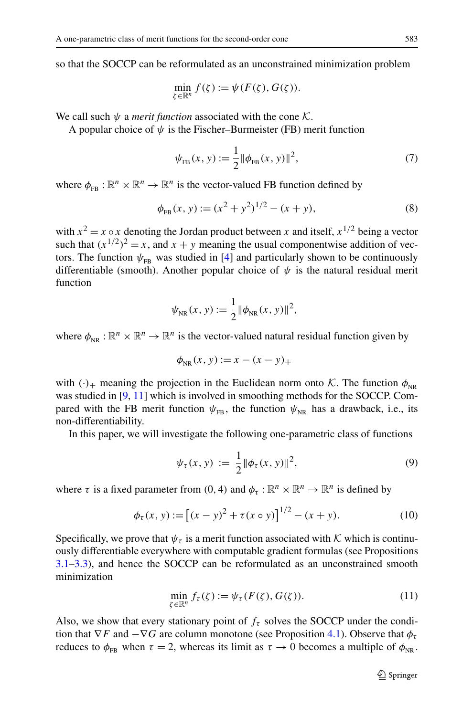<span id="page-2-0"></span>so that the SOCCP can be reformulated as an unconstrained minimization problem

$$
\min_{\zeta \in \mathbb{R}^n} f(\zeta) := \psi(F(\zeta), G(\zeta)).
$$

We call such  $\psi$  a *merit function* associated with the cone K.

A popular choice of  $\psi$  is the Fischer–Burmeister (FB) merit function

$$
\psi_{\text{FB}}(x, y) := \frac{1}{2} ||\phi_{\text{FB}}(x, y)||^2, \tag{7}
$$

where  $\phi_{FB} : \mathbb{R}^n \times \mathbb{R}^n \to \mathbb{R}^n$  is the vector-valued FB function defined by

$$
\phi_{\text{FB}}(x, y) := (x^2 + y^2)^{1/2} - (x + y),\tag{8}
$$

with  $x^2 = x \circ x$  denoting the Jordan product between *x* and itself,  $x^{1/2}$  being a vector such that  $(x^{1/2})^2 = x$ , and  $x + y$  meaning the usual componentwise addition of vectors. The function  $\psi_{FR}$  was studied in [[4\]](#page-24-0) and particularly shown to be continuously differentiable (smooth). Another popular choice of  $\psi$  is the natural residual merit function

$$
\psi_{NR}(x, y) := \frac{1}{2} ||\phi_{NR}(x, y)||^2,
$$

where  $\phi_{\text{NP}} : \mathbb{R}^n \times \mathbb{R}^n \to \mathbb{R}^n$  is the vector-valued natural residual function given by

$$
\phi_{NR}(x, y) := x - (x - y)_+
$$

with  $(\cdot)_+$  meaning the projection in the Euclidean norm onto K. The function  $\phi_{NP}$ was studied in [\[9](#page-24-0), [11\]](#page-24-0) which is involved in smoothing methods for the SOCCP. Compared with the FB merit function  $\psi_{FB}$ , the function  $\psi_{NR}$  has a drawback, i.e., its non-differentiability.

In this paper, we will investigate the following one-parametric class of functions

$$
\psi_{\tau}(x, y) := \frac{1}{2} ||\phi_{\tau}(x, y)||^2, \tag{9}
$$

where  $\tau$  is a fixed parameter from (0, 4) and  $\phi_{\tau} : \mathbb{R}^n \times \mathbb{R}^n \to \mathbb{R}^n$  is defined by

$$
\phi_{\tau}(x, y) := [(x - y)^2 + \tau (x \circ y)]^{1/2} - (x + y). \tag{10}
$$

Specifically, we prove that  $\psi_{\tau}$  is a merit function associated with K which is continuously differentiable everywhere with computable gradient formulas (see Propositions [3.1](#page-4-0)[–3.3\)](#page-10-0), and hence the SOCCP can be reformulated as an unconstrained smooth minimization

$$
\min_{\zeta \in \mathbb{R}^n} f_\tau(\zeta) := \psi_\tau(F(\zeta), G(\zeta)).\tag{11}
$$

Also, we show that every stationary point of  $f<sub>r</sub>$  solves the SOCCP under the condition that  $\nabla F$  and  $-\nabla G$  are column monotone (see Proposition [4.1\)](#page-17-0). Observe that  $\phi_{\tau}$ reduces to  $\phi_{FR}$  when  $\tau = 2$ , whereas its limit as  $\tau \to 0$  becomes a multiple of  $\phi_{NR}$ .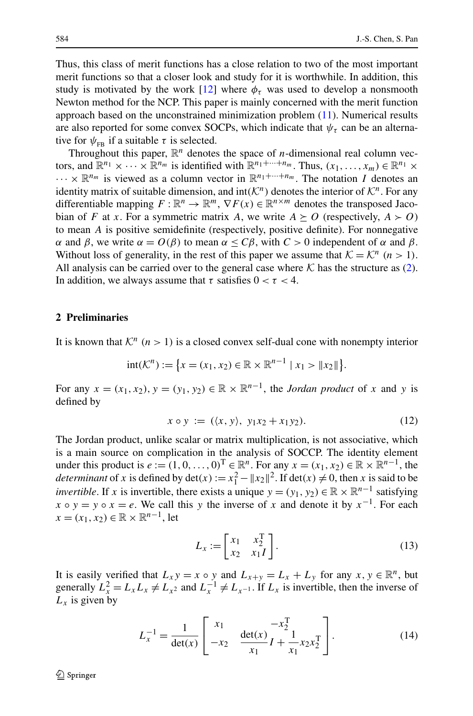<span id="page-3-0"></span>Thus, this class of merit functions has a close relation to two of the most important merit functions so that a closer look and study for it is worthwhile. In addition, this study is motivated by the work  $[12]$  $[12]$  where  $\phi_{\tau}$  was used to develop a nonsmooth Newton method for the NCP. This paper is mainly concerned with the merit function approach based on the unconstrained minimization problem ([11\)](#page-2-0). Numerical results are also reported for some convex SOCPs, which indicate that  $\psi_{\tau}$  can be an alternative for  $\psi_{FB}$  if a suitable  $\tau$  is selected.

Throughout this paper,  $\mathbb{R}^n$  denotes the space of *n*-dimensional real column vectors, and  $\mathbb{R}^{n_1} \times \cdots \times \mathbb{R}^{n_m}$  is identified with  $\mathbb{R}^{n_1+\cdots+n_m}$ . Thus,  $(x_1,\ldots,x_m) \in \mathbb{R}^{n_1} \times$  $\cdots \times \mathbb{R}^{n_m}$  is viewed as a column vector in  $\mathbb{R}^{n_1 + \cdots + n_m}$ . The notation *I* denotes an identity matrix of suitable dimension, and  $int(K^n)$  denotes the interior of  $K^n$ . For any differentiable mapping  $F : \mathbb{R}^n \to \mathbb{R}^m$ ,  $\nabla F(x) \in \mathbb{R}^{n \times m}$  denotes the transposed Jacobian of *F* at *x*. For a symmetric matrix *A*, we write  $A \succeq O$  (respectively,  $A \succ O$ ) to mean *A* is positive semidefinite (respectively, positive definite). For nonnegative *α* and *β*, we write *α* = *O*(*β*) to mean *α* ≤ *Cβ*, with *C* > 0 independent of *α* and *β*. Without loss of generality, in the rest of this paper we assume that  $K = \mathcal{K}^n$  ( $n > 1$ ). All analysis can be carried over to the general case where  $K$  has the structure as ([2\)](#page-1-0). In addition, we always assume that  $\tau$  satisfies  $0 < \tau < 4$ .

# **2 Preliminaries**

It is known that  $K^n$   $(n > 1)$  is a closed convex self-dual cone with nonempty interior

$$
int(\mathcal{K}^n) := \{ x = (x_1, x_2) \in \mathbb{R} \times \mathbb{R}^{n-1} \mid x_1 > \|x_2\| \}.
$$

For any  $x = (x_1, x_2), y = (y_1, y_2) \in \mathbb{R} \times \mathbb{R}^{n-1}$ , the *Jordan product* of x and y is defined by

$$
x \circ y := (\langle x, y \rangle, y_1x_2 + x_1y_2). \tag{12}
$$

The Jordan product, unlike scalar or matrix multiplication, is not associative, which is a main source on complication in the analysis of SOCCP. The identity element under this product is  $e := (1, 0, \ldots, 0)^T \in \mathbb{R}^n$ . For any  $x = (x_1, x_2) \in \mathbb{R} \times \mathbb{R}^{n-1}$ , the *determinant* of *x* is defined by  $\det(x) := x_1^2 - ||x_2||^2$ . If  $\det(x) \neq 0$ , then *x* is said to be *invertible*. If *x* is invertible, there exists a unique  $y = (y_1, y_2) \in \mathbb{R} \times \mathbb{R}^{n-1}$  satisfying  $x \circ y = y \circ x = e$ . We call this *y* the inverse of *x* and denote it by  $x^{-1}$ . For each *x* =  $(x_1, x_2)$  ∈ ℝ  $\times$  ℝ<sup>*n*-1</sup>, let

$$
L_x := \begin{bmatrix} x_1 & x_2^{\mathrm{T}} \\ x_2 & x_1 I \end{bmatrix} . \tag{13}
$$

It is easily verified that  $L_x y = x \circ y$  and  $L_{x+y} = L_x + L_y$  for any  $x, y \in \mathbb{R}^n$ , but generally  $L_x^2 = L_x L_x \neq L_{x^2}$  and  $L_x^{-1} \neq L_{x^{-1}}$ . If  $L_x$  is invertible, then the inverse of  $L_x$  is given by

$$
L_x^{-1} = \frac{1}{\det(x)} \begin{bmatrix} x_1 & -x_2^{\mathrm{T}} \\ -x_2 & \frac{\det(x)}{x_1} I + \frac{1}{x_1} x_2 x_2^{\mathrm{T}} \end{bmatrix} . \tag{14}
$$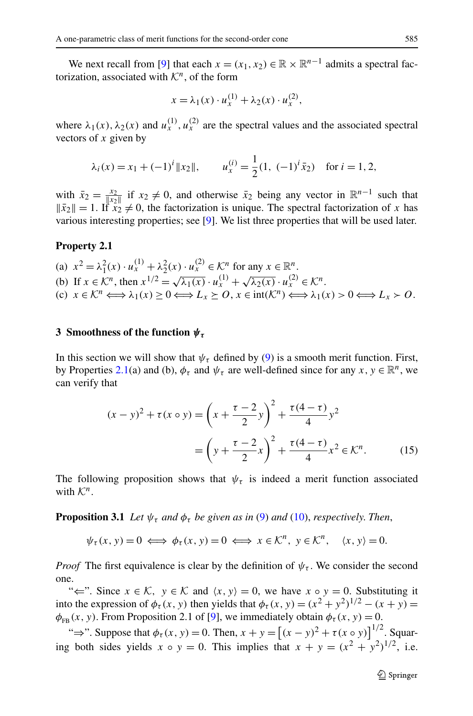<span id="page-4-0"></span>We next recall from [[9\]](#page-24-0) that each  $x = (x_1, x_2) \in \mathbb{R} \times \mathbb{R}^{n-1}$  admits a spectral factorization, associated with  $\mathcal{K}^n$ , of the form

$$
x = \lambda_1(x) \cdot u_x^{(1)} + \lambda_2(x) \cdot u_x^{(2)},
$$

where  $\lambda_1(x)$ ,  $\lambda_2(x)$  and  $u_x^{(1)}$ ,  $u_x^{(2)}$  are the spectral values and the associated spectral vectors of *x* given by

$$
\lambda_i(x) = x_1 + (-1)^i ||x_2||,
$$
\n $u_x^{(i)} = \frac{1}{2}(1, (-1)^i \bar{x}_2)$  for  $i = 1, 2,$ 

with  $\bar{x}_2 = \frac{x_2}{|x_2|}$  if  $x_2 \neq 0$ , and otherwise  $\bar{x}_2$  being any vector in  $\mathbb{R}^{n-1}$  such that  $\|\bar{x}_2\| = 1$ . If  $\bar{x}_2 \neq 0$ , the factorization is unique. The spectral factorization of *x* has various interesting properties; see [[9\]](#page-24-0). We list three properties that will be used later.

#### **Property 2.1**

(a) 
$$
x^2 = \lambda_1^2(x) \cdot u_x^{(1)} + \lambda_2^2(x) \cdot u_x^{(2)} \in \mathcal{K}^n
$$
 for any  $x \in \mathbb{R}^n$ .  
\n(b) If  $x \in \mathcal{K}^n$ , then  $x^{1/2} = \sqrt{\lambda_1(x)} \cdot u_x^{(1)} + \sqrt{\lambda_2(x)} \cdot u_x^{(2)} \in \mathcal{K}^n$ .  
\n(c)  $x \in \mathcal{K}^n \iff \lambda_1(x) \ge 0 \iff L_x \ge 0$ ,  $x \in \text{int}(\mathcal{K}^n) \iff \lambda_1(x) > 0 \iff L_x > 0$ .

## **3 Smoothness of the function** *ψτ*

In this section we will show that  $\psi_{\tau}$  defined by [\(9](#page-2-0)) is a smooth merit function. First, by Properties 2.1(a) and (b),  $\phi_{\tau}$  and  $\psi_{\tau}$  are well-defined since for any *x*,  $y \in \mathbb{R}^{n}$ , we can verify that

$$
(x - y)^2 + \tau (x \circ y) = \left(x + \frac{\tau - 2}{2}y\right)^2 + \frac{\tau (4 - \tau)}{4}y^2
$$

$$
= \left(y + \frac{\tau - 2}{2}x\right)^2 + \frac{\tau (4 - \tau)}{4}x^2 \in \mathcal{K}^n. \tag{15}
$$

The following proposition shows that  $\psi_{\tau}$  is indeed a merit function associated with  $K^n$ .

**Proposition 3.1** *Let*  $\psi_{\tau}$  *and*  $\phi_{\tau}$  *be given as in* [\(9](#page-2-0)) *and* ([10\)](#page-2-0), *respectively. Then*,

 $\psi_{\tau}(x, y) = 0 \iff \phi_{\tau}(x, y) = 0 \iff x \in \mathcal{K}^n, \quad y \in \mathcal{K}^n, \quad \langle x, y \rangle = 0.$ 

*Proof* The first equivalence is clear by the definition of  $\psi_{\tau}$ . We consider the second one.

" $\Leftarrow$ ". Since  $x \in \mathcal{K}$ ,  $y \in \mathcal{K}$  and  $\langle x, y \rangle = 0$ , we have  $x \circ y = 0$ . Substituting it into the expression of  $\phi_{\tau}(x, y)$  then yields that  $\phi_{\tau}(x, y) = (x^2 + y^2)^{1/2} - (x + y) =$  $\phi_{FB}(x, y)$ . From Proposition 2.1 of [[9\]](#page-24-0), we immediately obtain  $\phi_{\tau}(x, y) = 0$ .

"⇒". Suppose that  $\phi_{\tau}(x, y) = 0$ . Then,  $x + y = [(x - y)^2 + \tau(x \circ y)]^{1/2}$ . Squaring both sides yields  $x \circ y = 0$ . This implies that  $x + y = (x^2 + y^2)^{1/2}$ , i.e.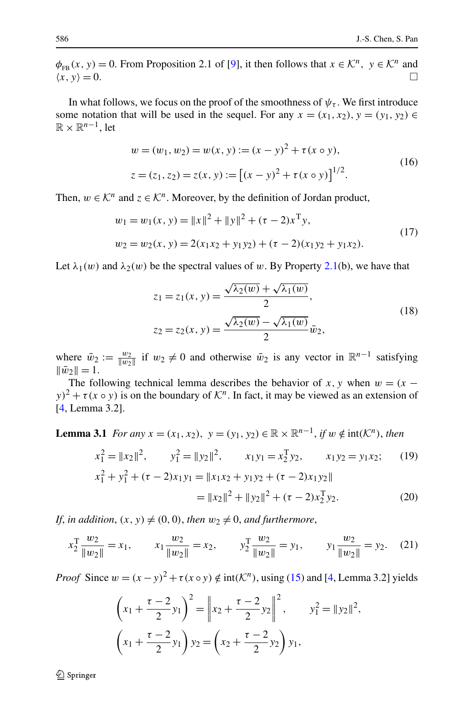<span id="page-5-0"></span> $\phi_{FB}(x, y) = 0$ . From Proposition 2.1 of [\[9](#page-24-0)], it then follows that  $x \in \mathcal{K}^n$ ,  $y \in \mathcal{K}^n$  and  $\langle x, y \rangle = 0$ .  $\langle x, y \rangle = 0.$ 

In what follows, we focus on the proof of the smoothness of  $\psi_{\tau}$ . We first introduce some notation that will be used in the sequel. For any  $x = (x_1, x_2), y = (y_1, y_2) \in$  $\mathbb{R} \times \mathbb{R}^{n-1}$ , let

$$
w = (w_1, w_2) = w(x, y) := (x - y)^2 + \tau (x \circ y),
$$
  
\n
$$
z = (z_1, z_2) = z(x, y) := [(x - y)^2 + \tau (x \circ y)]^{1/2}.
$$
\n(16)

Then,  $w \in \mathcal{K}^n$  and  $z \in \mathcal{K}^n$ . Moreover, by the definition of Jordan product,

$$
w_1 = w_1(x, y) = ||x||^2 + ||y||^2 + (\tau - 2)x^T y,
$$
  
\n
$$
w_2 = w_2(x, y) = 2(x_1x_2 + y_1y_2) + (\tau - 2)(x_1y_2 + y_1x_2).
$$
\n(17)

Let  $\lambda_1(w)$  and  $\lambda_2(w)$  be the spectral values of *w*. By Property [2.1](#page-4-0)(b), we have that

$$
z_1 = z_1(x, y) = \frac{\sqrt{\lambda_2(w)} + \sqrt{\lambda_1(w)}}{2},
$$
  
\n
$$
z_2 = z_2(x, y) = \frac{\sqrt{\lambda_2(w)} - \sqrt{\lambda_1(w)}}{2} \bar{w}_2,
$$
\n(18)

where  $\bar{w}_2 := \frac{w_2}{\|w_2\|}$  if  $w_2 \neq 0$  and otherwise  $\bar{w}_2$  is any vector in  $\mathbb{R}^{n-1}$  satisfying  $\|\bar{w}_2\| = 1.$ 

The following technical lemma describes the behavior of *x*, *y* when  $w = (x$  $y$ <sup>2</sup> +  $\tau(x \circ y)$  is on the boundary of  $\mathcal{K}^n$ . In fact, it may be viewed as an extension of [\[4](#page-24-0), Lemma 3.2].

**Lemma 3.1** *For any*  $x = (x_1, x_2), y = (y_1, y_2) \in \mathbb{R} \times \mathbb{R}^{n-1}$ , *if*  $w \notin \text{int}(\mathcal{K}^n)$ , *then* 

$$
x_1^2 = ||x_2||^2, \t y_1^2 = ||y_2||^2, \t x_1y_1 = x_2^{\mathrm{T}}y_2, \t x_1y_2 = y_1x_2; \t (19)
$$
  

$$
x_1^2 + y_1^2 + (\tau - 2)x_1y_1 = ||x_1x_2 + y_1y_2 + (\tau - 2)x_1y_2||
$$
  

$$
= ||x_2||^2 + ||y_2||^2 + (\tau - 2)x_2^{\mathrm{T}}y_2.
$$
 (20)

*If, in addition,*  $(x, y) \neq (0, 0)$ *, then*  $w_2 \neq 0$ *, and furthermore,* 

$$
x_2^T \frac{w_2}{\|w_2\|} = x_1, \qquad x_1 \frac{w_2}{\|w_2\|} = x_2, \qquad y_2^T \frac{w_2}{\|w_2\|} = y_1, \qquad y_1 \frac{w_2}{\|w_2\|} = y_2. \tag{21}
$$

*Proof* Since  $w = (x - y)^2 + \tau(x \circ y) \notin \text{int}(\mathcal{K}^n)$ , using ([15\)](#page-4-0) and [[4,](#page-24-0) Lemma 3.2] yields

$$
\left(x_1 + \frac{\tau - 2}{2}y_1\right)^2 = \left\|x_2 + \frac{\tau - 2}{2}y_2\right\|^2, \qquad y_1^2 = \|y_2\|^2,
$$

$$
\left(x_1 + \frac{\tau - 2}{2}y_1\right)y_2 = \left(x_2 + \frac{\tau - 2}{2}y_2\right)y_1,
$$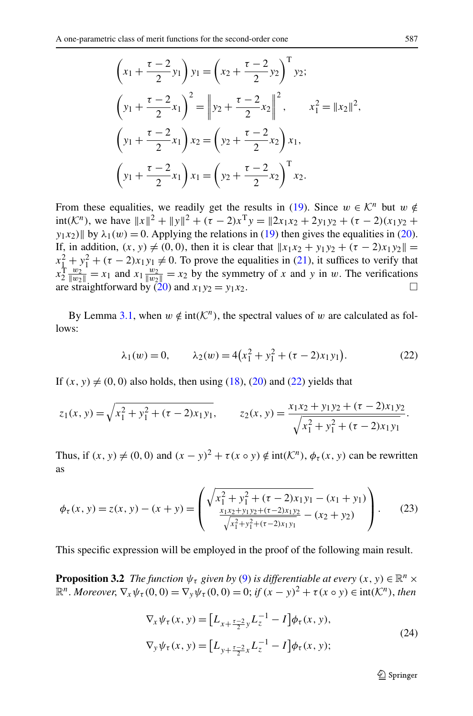<span id="page-6-0"></span>
$$
\left(x_1 + \frac{\tau - 2}{2}y_1\right)y_1 = \left(x_2 + \frac{\tau - 2}{2}y_2\right)^T y_2;
$$
\n
$$
\left(y_1 + \frac{\tau - 2}{2}x_1\right)^2 = \left\|y_2 + \frac{\tau - 2}{2}x_2\right\|^2, \qquad x_1^2 = \|x_2\|^2,
$$
\n
$$
\left(y_1 + \frac{\tau - 2}{2}x_1\right)x_2 = \left(y_2 + \frac{\tau - 2}{2}x_2\right)x_1,
$$
\n
$$
\left(y_1 + \frac{\tau - 2}{2}x_1\right)x_1 = \left(y_2 + \frac{\tau - 2}{2}x_2\right)^T x_2.
$$

From these equalities, we readily get the results in [\(19](#page-5-0)). Since  $w \in \mathcal{K}^n$  but  $w \notin$  $int(K^n)$ , we have  $||x||^2 + ||y||^2 + (\tau - 2)x^T y = ||2x_1x_2 + 2y_1y_2 + (\tau - 2)(x_1y_2 + 2y_2y_1 + 2y_1y_2 + \tau - 2)$ *y*<sub>1</sub>*x*<sub>2</sub>) $\|$  by  $\lambda_1(w) = 0$ . Applying the relations in ([19\)](#page-5-0) then gives the equalities in ([20\)](#page-5-0). If, in addition,  $(x, y) \neq (0, 0)$ , then it is clear that  $||x_1x_2 + y_1y_2 + (\tau - 2)x_1y_2|| =$  $x_1^2 + y_1^2 + (\tau - 2)x_1y_1 \neq 0$ . To prove the equalities in [\(21](#page-5-0)), it suffices to verify that  $x_2^T \frac{w_2}{|w_2|} = x_1$  and  $x_1 \frac{w_2}{|w_2|} = x_2$  by the symmetry of *x* and *y* in *w*. The verifications are straightforward by  $\overline{20}$  and  $x_1y_2 = y_1x_2$ .

By Lemma [3.1,](#page-5-0) when  $w \notin \text{int}(\mathcal{K}^n)$ , the spectral values of w are calculated as follows:

$$
\lambda_1(w) = 0, \qquad \lambda_2(w) = 4\left(x_1^2 + y_1^2 + (\tau - 2)x_1y_1\right). \tag{22}
$$

If  $(x, y) \neq (0, 0)$  also holds, then using  $(18)$  $(18)$ ,  $(20)$  $(20)$  and  $(22)$  yields that

$$
z_1(x, y) = \sqrt{x_1^2 + y_1^2 + (\tau - 2)x_1y_1}, \qquad z_2(x, y) = \frac{x_1x_2 + y_1y_2 + (\tau - 2)x_1y_2}{\sqrt{x_1^2 + y_1^2 + (\tau - 2)x_1y_1}}.
$$

Thus, if  $(x, y) \neq (0, 0)$  and  $(x - y)^2 + \tau(x \circ y) \notin \text{int}(\mathcal{K}^n)$ ,  $\phi_\tau(x, y)$  can be rewritten as

$$
\phi_{\tau}(x, y) = z(x, y) - (x + y) = \begin{pmatrix} \sqrt{x_1^2 + y_1^2 + (\tau - 2)x_1y_1} - (x_1 + y_1) \\ \frac{x_1x_2 + y_1y_2 + (\tau - 2)x_1y_2}{\sqrt{x_1^2 + y_1^2 + (\tau - 2)x_1y_1}} - (x_2 + y_2) \end{pmatrix}.
$$
 (23)

This specific expression will be employed in the proof of the following main result.

**Proposition 3.2** *The function*  $\psi_{\tau}$  *given by* [\(9](#page-2-0)) *is differentiable at every*  $(x, y) \in \mathbb{R}^n \times$  $\mathbb{R}^n$ . *Moreover*,  $\nabla_x \psi_\tau(0,0) = \nabla_y \psi_\tau(0,0) = 0$ ; *if*  $(x - y)^2 + \tau(x \circ y) \in \text{int}(\mathcal{K}^n)$ , *then* 

$$
\nabla_x \psi_\tau(x, y) = \left[L_{x + \frac{\tau - 2}{2}y} L_z^{-1} - I\right] \phi_\tau(x, y),
$$
\n
$$
\nabla_y \psi_\tau(x, y) = \left[L_{y + \frac{\tau - 2}{2}x} L_z^{-1} - I\right] \phi_\tau(x, y);
$$
\n(24)

 $\bigcirc$  Springer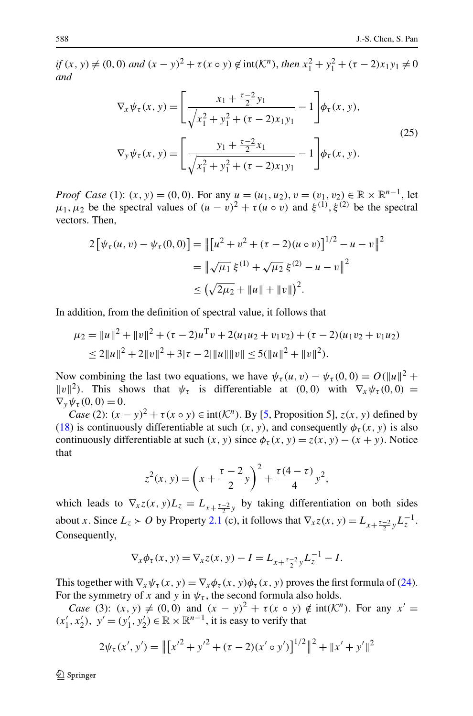<span id="page-7-0"></span> $if (x, y) \neq (0, 0)$  *and*  $(x - y)^2 + \tau(x \circ y) \notin \text{int}(\mathcal{K}^n)$ , *then*  $x_1^2 + y_1^2 + (\tau - 2)x_1y_1 \neq 0$ *and*

$$
\nabla_x \psi_\tau(x, y) = \left[ \frac{x_1 + \frac{\tau - 2}{2} y_1}{\sqrt{x_1^2 + y_1^2 + (\tau - 2) x_1 y_1}} - 1 \right] \phi_\tau(x, y),
$$
\n
$$
\nabla_y \psi_\tau(x, y) = \left[ \frac{y_1 + \frac{\tau - 2}{2} x_1}{\sqrt{x_1^2 + y_1^2 + (\tau - 2) x_1 y_1}} - 1 \right] \phi_\tau(x, y).
$$
\n(25)

*Proof Case* (1):  $(x, y) = (0, 0)$ . For any  $u = (u_1, u_2), v = (v_1, v_2) \in \mathbb{R} \times \mathbb{R}^{n-1}$ , let *μ*<sub>1</sub>*, μ*<sub>2</sub> be the spectral values of  $(u - v)^2 + \tau(u \circ v)$  and  $\xi^{(1)}$ ,  $\xi^{(2)}$  be the spectral vectors. Then,

$$
2\left[\psi_{\tau}(u,v) - \psi_{\tau}(0,0)\right] = \left\|\left[u^2 + v^2 + (\tau - 2)(u \circ v)\right]^{1/2} - u - v\right\|^2
$$

$$
= \left\|\sqrt{\mu_1}\,\xi^{(1)} + \sqrt{\mu_2}\,\xi^{(2)} - u - v\right\|^2
$$

$$
\leq \left(\sqrt{2\mu_2} + \|u\| + \|v\|\right)^2.
$$

In addition, from the definition of spectral value, it follows that

$$
\mu_2 = ||u||^2 + ||v||^2 + (\tau - 2)u^{\mathrm{T}}v + 2(u_1u_2 + v_1v_2) + (\tau - 2)(u_1v_2 + v_1u_2)
$$
  
\n
$$
\leq 2||u||^2 + 2||v||^2 + 3|\tau - 2||u|| ||v|| \leq 5(||u||^2 + ||v||^2).
$$

Now combining the last two equations, we have  $\psi_{\tau}(u, v) - \psi_{\tau}(0, 0) = O(||u||^2 +$ *v*<sup>2</sup>). This shows that  $\psi_{\tau}$  is differentiable at (0*,* 0*)* with  $\nabla_{x}\psi_{\tau}$  (0*,* 0*)* =  $\nabla_{\mathbf{v}} \psi_{\tau}(\mathbf{0},\mathbf{0}) = 0.$ 

*Case* (2):  $(x - y)^2 + \tau(x \circ y) \in \text{int}(\mathcal{K}^n)$ . By [[5,](#page-24-0) Proposition 5],  $z(x, y)$  defined by [\(18](#page-5-0)) is continuously differentiable at such  $(x, y)$ , and consequently  $\phi_{\tau}(x, y)$  is also continuously differentiable at such  $(x, y)$  since  $\phi_{\tau}(x, y) = z(x, y) - (x + y)$ . Notice that

$$
z^{2}(x, y) = \left(x + \frac{\tau - 2}{2}y\right)^{2} + \frac{\tau(4 - \tau)}{4}y^{2},
$$

which leads to  $\nabla_x z(x, y) L_z = L_{x + \frac{\tau - 2}{2}y}$  by taking differentiation on both sides about *x*. Since  $L_z \succ O$  by Property [2.1](#page-4-0) (c), it follows that  $\nabla_x z(x, y) = L_{x + \frac{\tau - 2}{2}y} L_z^{-1}$ . Consequently,

$$
\nabla_x \phi_\tau(x, y) = \nabla_x z(x, y) - I = L_{x + \frac{\tau - 2}{2}y} L_z^{-1} - I.
$$

This together with  $\nabla_x \psi_\tau(x, y) = \nabla_x \phi_\tau(x, y) \phi_\tau(x, y)$  proves the first formula of ([24\)](#page-6-0). For the symmetry of *x* and *y* in  $\psi_{\tau}$ , the second formula also holds.

*Case* (3):  $(x, y) \neq (0, 0)$  and  $(x - y)^2 + \tau(x \circ y) \notin \text{int}(\mathcal{K}^n)$ . For any  $x' =$  $(x'_1, x'_2)$ ,  $y' = (y'_1, y'_2)$  ∈ ℝ × ℝ<sup>*n*-1</sup>, it is easy to verify that

$$
2\psi_{\tau}(x', y') = ||[x'^{2} + y'^{2} + (\tau - 2)(x' \circ y')]^{1/2}||^{2} + ||x' + y'||^{2}
$$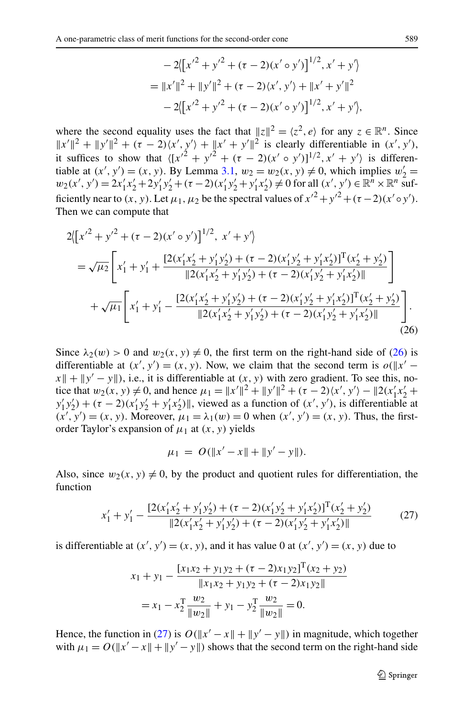$$
-2([x'^{2} + y'^{2} + (\tau - 2)(x' \circ y')]^{1/2}, x' + y')
$$
  
=  $||x'||^{2} + ||y'||^{2} + (\tau - 2)(x', y') + ||x' + y'||^{2}$   

$$
-2([x'^{2} + y'^{2} + (\tau - 2)(x' \circ y')]^{1/2}, x' + y'),
$$

<span id="page-8-0"></span>where the second equality uses the fact that  $||z||^2 = \langle z^2, e \rangle$  for any  $z \in \mathbb{R}^n$ . Since  $||x'||^2 + ||y'||^2 + (\tau - 2)\langle x', y' \rangle + ||x' + y'||^2$  is clearly differentiable in  $(x', y')$ , it suffices to show that  $\langle [x'^2 + y'^2 + (\tau - 2)(x' \circ y')]^{1/2}, x' + y' \rangle$  is differentiable at  $(x', y') = (x, y)$ . By Lemma [3.1](#page-5-0),  $w_2 = w_2(x, y) \neq 0$ , which implies  $w'_2 =$  $w_2(x', y') = 2x'_1x'_2 + 2y'_1y'_2 + (\tau - 2)(x'_1y'_2 + y'_1x'_2) \neq 0$  for all  $(x', y') \in \mathbb{R}^n \times \mathbb{R}^n$  sufficiently near to  $(x, y)$ . Let  $\mu_1, \mu_2$  be the spectral values of  $x'^2 + y'^2 + (\tau - 2)(x' \circ y')$ . Then we can compute that

$$
2([x'^{2} + y'^{2} + (\tau - 2)(x' \circ y')]^{1/2}, x' + y')
$$
  
=  $\sqrt{\mu_2} \left[ x'_1 + y'_1 + \frac{[2(x'_1x'_2 + y'_1y'_2) + (\tau - 2)(x'_1y'_2 + y'_1x'_2)]^T(x'_2 + y'_2)}{[2(x'_1x'_2 + y'_1y'_2) + (\tau - 2)(x'_1y'_2 + y'_1x'_2)]^T}\right]$   
+  $\sqrt{\mu_1} \left[ x'_1 + y'_1 - \frac{[2(x'_1x'_2 + y'_1y'_2) + (\tau - 2)(x'_1y'_2 + y'_1x'_2)]^T(x'_2 + y'_2)}{[2(x'_1x'_2 + y'_1y'_2) + (\tau - 2)(x'_1y'_2 + y'_1x'_2)]^T}\right].$  (26)

Since  $\lambda_2(w) > 0$  and  $w_2(x, y) \neq 0$ , the first term on the right-hand side of (26) is differentiable at  $(x', y') = (x, y)$ . Now, we claim that the second term is  $o(\Vert x' - x\Vert)$  $x \parallel + \parallel y' - y \parallel$ ), i.e., it is differentiable at  $(x, y)$  with zero gradient. To see this, notice that  $w_2(x, y) \neq 0$ , and hence  $\mu_1 = ||x'||^2 + ||y'||^2 + (\tau - 2)\langle x', y' \rangle - ||2(x'_1x'_2 + 1)$  $y'_1y'_2$  +  $(\tau - 2)(x'_1y'_2 + y'_1x'_2)$ , viewed as a function of  $(x', y')$ , is differentiable at  $(x', y') = (x, y)$ . Moreover,  $\mu_1 = \lambda_1(w) = 0$  when  $(x', y') = (x, y)$ . Thus, the firstorder Taylor's expansion of  $\mu_1$  at  $(x, y)$  yields

$$
\mu_1 = O(\|x' - x\| + \|y' - y\|).
$$

Also, since  $w_2(x, y) \neq 0$ , by the product and quotient rules for differentiation, the function

$$
x'_1 + y'_1 - \frac{[2(x'_1x'_2 + y'_1y'_2) + (\tau - 2)(x'_1y'_2 + y'_1x'_2)]^T(x'_2 + y'_2)}{||2(x'_1x'_2 + y'_1y'_2) + (\tau - 2)(x'_1y'_2 + y'_1x'_2)||}
$$
(27)

is differentiable at  $(x', y') = (x, y)$ , and it has value 0 at  $(x', y') = (x, y)$  due to

$$
x_1 + y_1 - \frac{[x_1x_2 + y_1y_2 + (\tau - 2)x_1y_2]^T(x_2 + y_2)}{\|x_1x_2 + y_1y_2 + (\tau - 2)x_1y_2\|}
$$
  
=  $x_1 - x_2^T \frac{w_2}{\|w_2\|} + y_1 - y_2^T \frac{w_2}{\|w_2\|} = 0.$ 

Hence, the function in (27) is  $O(||x' - x|| + ||y' - y||)$  in magnitude, which together with  $\mu_1 = O(||x' - x|| + ||y' - y||)$  shows that the second term on the right-hand side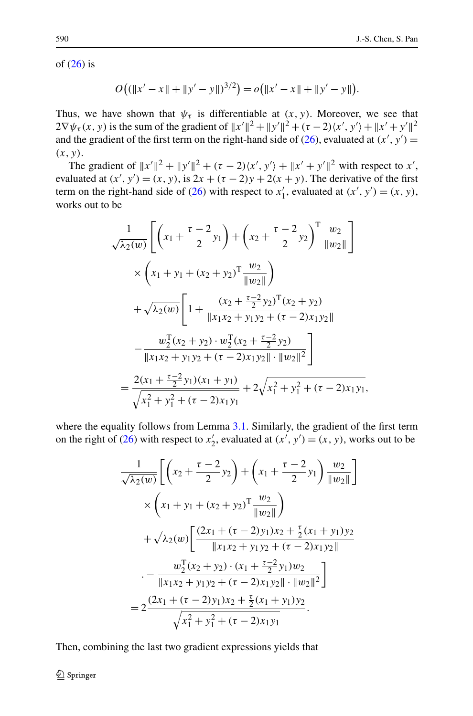of  $(26)$  $(26)$  is

$$
O((\|x'-x\|+\|y'-y\|)^{3/2})=o(\|x'-x\|+\|y'-y\|).
$$

Thus, we have shown that  $\psi_{\tau}$  is differentiable at  $(x, y)$ . Moreover, we see that  $2\nabla \psi_{\tau}(x, y)$  is the sum of the gradient of  $||x'||^2 + ||y'||^2 + (\tau - 2)\langle x', y'\rangle + ||x' + y'||^2$ and the gradient of the first term on the right-hand side of [\(26\)](#page-8-0), evaluated at  $(x', y') =$ *(x,y)*.

The gradient of  $||x'||^2 + ||y'||^2 + (\tau - 2)\langle x', y' \rangle + ||x' + y'||^2$  with respect to *x'*, evaluated at  $(x', y') = (x, y)$ , is  $2x + (\tau - 2)y + 2(x + y)$ . The derivative of the first term on the right-hand side of [\(26](#page-8-0)) with respect to  $x'_1$ , evaluated at  $(x', y') = (x, y)$ , works out to be

$$
\frac{1}{\sqrt{\lambda_2(w)}} \left[ \left( x_1 + \frac{\tau - 2}{2} y_1 \right) + \left( x_2 + \frac{\tau - 2}{2} y_2 \right)^{\mathrm{T}} \frac{w_2}{\|w_2\|} \right]
$$
  

$$
\times \left( x_1 + y_1 + (x_2 + y_2)^{\mathrm{T}} \frac{w_2}{\|w_2\|} \right)
$$
  

$$
+ \sqrt{\lambda_2(w)} \left[ 1 + \frac{(x_2 + \frac{\tau - 2}{2} y_2)^{\mathrm{T}} (x_2 + y_2)}{\|x_1 x_2 + y_1 y_2 + (\tau - 2) x_1 y_2\|} \right]
$$
  

$$
- \frac{w_2^{\mathrm{T}} (x_2 + y_2) \cdot w_2^{\mathrm{T}} (x_2 + \frac{\tau - 2}{2} y_2)}{\|x_1 x_2 + y_1 y_2 + (\tau - 2) x_1 y_2\| \cdot \|w_2\|^2} \right]
$$
  

$$
= \frac{2(x_1 + \frac{\tau - 2}{2} y_1)(x_1 + y_1)}{\sqrt{x_1^2 + y_1^2 + (\tau - 2) x_1 y_1}} + 2\sqrt{x_1^2 + y_1^2 + (\tau - 2) x_1 y_1},
$$

where the equality follows from Lemma [3.1.](#page-5-0) Similarly, the gradient of the first term on the right of [\(26](#page-8-0)) with respect to  $x'_2$ , evaluated at  $(x', y') = (x, y)$ , works out to be

$$
\frac{1}{\sqrt{\lambda_2(w)}} \left[ \left( x_2 + \frac{\tau - 2}{2} y_2 \right) + \left( x_1 + \frac{\tau - 2}{2} y_1 \right) \frac{w_2}{\|w_2\|} \right] \times \left( x_1 + y_1 + (x_2 + y_2)^T \frac{w_2}{\|w_2\|} \right) \n+ \sqrt{\lambda_2(w)} \left[ \frac{(2x_1 + (\tau - 2)y_1)x_2 + \frac{\tau}{2}(x_1 + y_1)y_2}{\|x_1x_2 + y_1y_2 + (\tau - 2)x_1y_2\|} \right] \n- \frac{w_2^T(x_2 + y_2) \cdot (x_1 + \frac{\tau - 2}{2}y_1)w_2}{\|x_1x_2 + y_1y_2 + (\tau - 2)x_1y_2\| \cdot \|w_2\|^2} \right] \n= 2 \frac{(2x_1 + (\tau - 2)y_1)x_2 + \frac{\tau}{2}(x_1 + y_1)y_2}{\sqrt{x_1^2 + y_1^2 + (\tau - 2)x_1y_1}}.
$$

Then, combining the last two gradient expressions yields that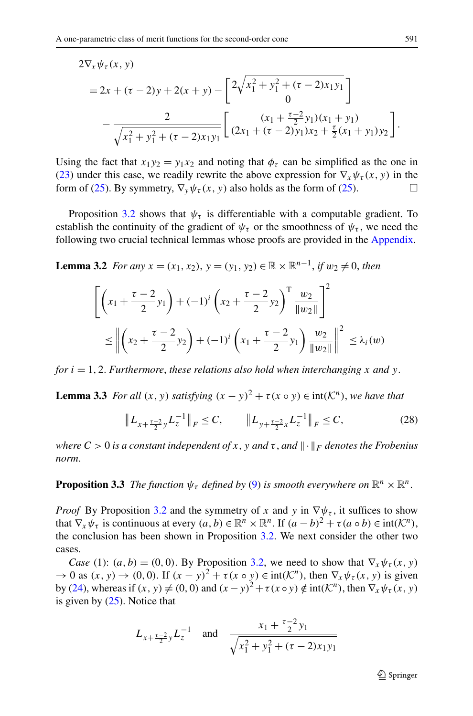<span id="page-10-0"></span>
$$
2\nabla_x \psi_\tau(x, y)
$$
  
=  $2x + (\tau - 2)y + 2(x + y) - \left[ 2\sqrt{x_1^2 + y_1^2 + (\tau - 2)x_1y_1} \right]$   

$$
-\frac{2}{\sqrt{x_1^2 + y_1^2 + (\tau - 2)x_1y_1}} \left[ \frac{(x_1 + \frac{\tau - 2}{2}y_1)(x_1 + y_1)}{(2x_1 + (\tau - 2)y_1)x_2 + \frac{\tau}{2}(x_1 + y_1)y_2} \right].
$$

Using the fact that  $x_1y_2 = y_1x_2$  and noting that  $\phi_\tau$  can be simplified as the one in [\(23](#page-6-0)) under this case, we readily rewrite the above expression for  $\nabla_x \psi_\tau(x, y)$  in the form of ([25\)](#page-7-0). By symmetry,  $\nabla_y \psi_\tau(x, y)$  also holds as the form of (25).

Proposition [3.2](#page-6-0) shows that  $\psi_{\tau}$  is differentiable with a computable gradient. To establish the continuity of the gradient of  $\psi_{\tau}$  or the smoothness of  $\psi_{\tau}$ , we need the following two crucial technical lemmas whose proofs are provided in the [Appendix](#page-21-0).

**Lemma 3.2** *For any*  $x = (x_1, x_2), y = (y_1, y_2) \in \mathbb{R} \times \mathbb{R}^{n-1}$ , *if*  $w_2 \neq 0$ , *then* 

$$
\begin{aligned} & \left[ \left( x_1 + \frac{\tau - 2}{2} y_1 \right) + (-1)^i \left( x_2 + \frac{\tau - 2}{2} y_2 \right)^{\mathrm{T}} \frac{w_2}{\|w_2\|} \right]^2 \\ & \leq \left\| \left( x_2 + \frac{\tau - 2}{2} y_2 \right) + (-1)^i \left( x_1 + \frac{\tau - 2}{2} y_1 \right) \frac{w_2}{\|w_2\|} \right\|^2 \leq \lambda_i(w) \end{aligned}
$$

*for*  $i = 1, 2$ *. Furthermore, these relations also hold when interchanging x and y*.

**Lemma 3.3** *For all*  $(x, y)$  *satisfying*  $(x - y)^2 + \tau(x \circ y) \in \text{int}(\mathcal{K}^n)$ *, we have that* 

$$
\|L_{x+\frac{\tau-2}{2}y}L_{z}^{-1}\|_{F}\leq C, \qquad \|L_{y+\frac{\tau-2}{2}x}L_{z}^{-1}\|_{F}\leq C,
$$
\n(28)

*where*  $C > 0$  *is a constant independent of x, y and*  $\tau$ *, and*  $\|\cdot\|_F$  *denotes the Frobenius norm*.

# **Proposition 3.3** *The function*  $\psi_{\tau}$  *defined by* [\(9](#page-2-0)) *is smooth everywhere on*  $\mathbb{R}^n \times \mathbb{R}^n$ .

*Proof* By Proposition [3.2](#page-6-0) and the symmetry of *x* and *y* in  $\nabla \psi_{\tau}$ , it suffices to show that  $\nabla_x \psi_\tau$  is continuous at every  $(a, b) \in \mathbb{R}^n \times \mathbb{R}^n$ . If  $(a - b)^2 + \tau(a \circ b) \in \text{int}(\mathcal{K}^n)$ , the conclusion has been shown in Proposition [3.2.](#page-6-0) We next consider the other two cases.

*Case* (1):  $(a, b) = (0, 0)$ . By Proposition [3.2](#page-6-0), we need to show that  $\nabla_x \psi_\tau(x, y)$  $\rightarrow$  0 as  $(x, y) \rightarrow (0, 0)$ . If  $(x - y)^2 + \tau(x \circ y) \in \text{int}(\mathcal{K}^n)$ , then  $\nabla_x \psi_\tau(x, y)$  is given by [\(24](#page-6-0)), whereas if  $(x, y) \neq (0, 0)$  and  $(x - y)^2 + \tau(x \circ y) \notin \text{int}(\mathcal{K}^n)$ , then  $\nabla_x \psi_\tau(x, y)$ is given by ([25\)](#page-7-0). Notice that

$$
L_{x+\frac{\tau-2}{2}y}L_{z}^{-1} \quad \text{and} \quad \frac{x_{1}+\frac{\tau-2}{2}y_{1}}{\sqrt{x_{1}^{2}+y_{1}^{2}+(\tau-2)x_{1}y_{1}}}
$$

 $\bigcirc$  Springer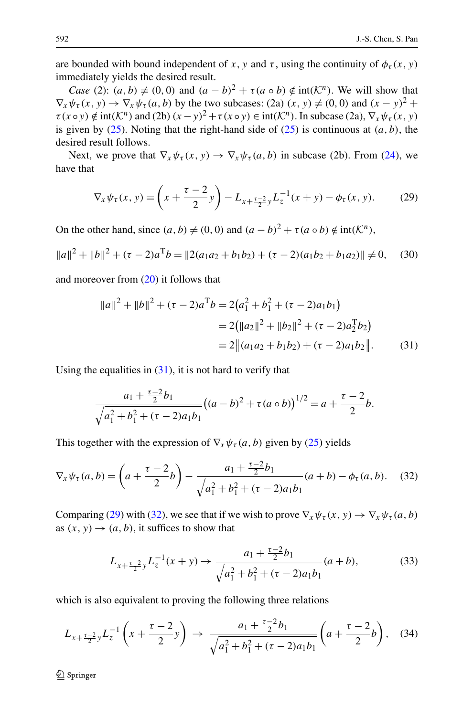<span id="page-11-0"></span>are bounded with bound independent of *x*, *y* and *τ*, using the continuity of  $\phi_\tau(x, y)$ immediately yields the desired result.

*Case* (2):  $(a, b) \neq (0, 0)$  and  $(a - b)^2 + \tau(a \circ b) \notin \text{int}(\mathcal{K}^n)$ . We will show that  $\nabla_x \psi_\tau(x, y) \to \nabla_x \psi_\tau(a, b)$  by the two subcases: (2a)  $(x, y) \neq (0, 0)$  and  $(x - y)^2 +$  $\tau(x \circ y) \notin \text{int}(\mathcal{K}^n)$  and (2b)  $(x - y)^2 + \tau(x \circ y) \in \text{int}(\mathcal{K}^n)$ . In subcase (2a),  $\nabla_x \psi_\tau(x, y)$ is given by  $(25)$  $(25)$ . Noting that the right-hand side of  $(25)$  $(25)$  is continuous at  $(a, b)$ , the desired result follows.

Next, we prove that  $\nabla_x \psi_\tau(x, y) \to \nabla_x \psi_\tau(a, b)$  in subcase (2b). From ([24\)](#page-6-0), we have that

$$
\nabla_x \psi_\tau(x, y) = \left( x + \frac{\tau - 2}{2} y \right) - L_{x + \frac{\tau - 2}{2} y} L_z^{-1}(x + y) - \phi_\tau(x, y). \tag{29}
$$

On the other hand, since  $(a, b) \neq (0, 0)$  and  $(a - b)^2 + \tau(a \circ b) \notin \text{int}(\mathcal{K}^n)$ ,

$$
||a||^2 + ||b||^2 + (\tau - 2)a^T b = ||2(a_1 a_2 + b_1 b_2) + (\tau - 2)(a_1 b_2 + b_1 a_2)|| \neq 0, \quad (30)
$$

and moreover from  $(20)$  $(20)$  it follows that

$$
||a||2 + ||b||2 + (\tau - 2)aTb = 2(a12 + b12 + (\tau - 2)a1b1)
$$
  
= 2(||a<sub>2</sub>||<sup>2</sup> + ||b<sub>2</sub>||<sup>2</sup> + (\tau - 2)a<sub>2</sub><sup>T</sup>b<sub>2</sub>)  
= 2||(a<sub>1</sub>a<sub>2</sub> + b<sub>1</sub>b<sub>2</sub>) + (\tau - 2)a<sub>1</sub>b<sub>2</sub>||. (31)

Using the equalities in  $(31)$ , it is not hard to verify that

$$
\frac{a_1 + \frac{\tau - 2}{2}b_1}{\sqrt{a_1^2 + b_1^2 + (\tau - 2)a_1b_1}} \big( (a - b)^2 + \tau(a \circ b) \big)^{1/2} = a + \frac{\tau - 2}{2}b.
$$

This together with the expression of  $\nabla_x \psi_\tau(a, b)$  given by ([25\)](#page-7-0) yields

$$
\nabla_x \psi_\tau(a, b) = \left( a + \frac{\tau - 2}{2} b \right) - \frac{a_1 + \frac{\tau - 2}{2} b_1}{\sqrt{a_1^2 + b_1^2 + (\tau - 2)a_1 b_1}} (a + b) - \phi_\tau(a, b). \tag{32}
$$

Comparing (29) with (32), we see that if we wish to prove  $\nabla_x \psi_\tau(x, y) \to \nabla_x \psi_\tau(a, b)$ as  $(x, y) \rightarrow (a, b)$ , it suffices to show that

$$
L_{x+\frac{\tau-2}{2}y}L_z^{-1}(x+y) \to \frac{a_1 + \frac{\tau-2}{2}b_1}{\sqrt{a_1^2 + b_1^2 + (\tau-2)a_1b_1}}(a+b),\tag{33}
$$

which is also equivalent to proving the following three relations

$$
L_{x+\frac{\tau-2}{2}y}L_{z}^{-1}\left(x+\frac{\tau-2}{2}y\right) \to \frac{a_{1}+\frac{\tau-2}{2}b_{1}}{\sqrt{a_{1}^{2}+b_{1}^{2}+(\tau-2)a_{1}b_{1}}}\left(a+\frac{\tau-2}{2}b\right), \quad (34)
$$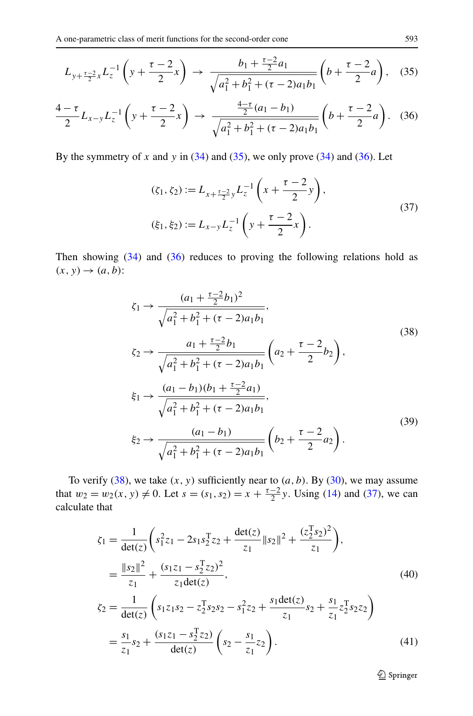<span id="page-12-0"></span>
$$
L_{y+\frac{\tau-2}{2}x}L_{z}^{-1}\left(y+\frac{\tau-2}{2}x\right) \to \frac{b_{1}+\frac{\tau-2}{2}a_{1}}{\sqrt{a_{1}^{2}+b_{1}^{2}+(\tau-2)a_{1}b_{1}}}\left(b+\frac{\tau-2}{2}a\right), \quad (35)
$$

$$
\frac{4-\tau}{2}L_{x-y}L_{z}^{-1}\left(y+\frac{\tau-2}{2}x\right) \to \frac{\frac{4-\tau}{2}(a_1-b_1)}{\sqrt{a_1^2+b_1^2+(\tau-2)a_1b_1}}\left(b+\frac{\tau-2}{2}a\right). \tag{36}
$$

By the symmetry of *x* and *y* in  $(34)$  $(34)$  and  $(35)$ , we only prove  $(34)$  $(34)$  and  $(36)$ . Let

$$
(\zeta_1, \zeta_2) := L_{x + \frac{\tau - 2}{2}y} L_z^{-1} \left( x + \frac{\tau - 2}{2} y \right),
$$
  

$$
(\xi_1, \xi_2) := L_{x - y} L_z^{-1} \left( y + \frac{\tau - 2}{2} x \right).
$$
 (37)

Then showing  $(34)$  $(34)$  and  $(36)$  reduces to proving the following relations hold as  $(x, y) \rightarrow (a, b)$ :

$$
\zeta_{1} \rightarrow \frac{(a_{1} + \frac{\tau - 2}{2}b_{1})^{2}}{\sqrt{a_{1}^{2} + b_{1}^{2} + (\tau - 2)a_{1}b_{1}}},
$$
\n
$$
\zeta_{2} \rightarrow \frac{a_{1} + \frac{\tau - 2}{2}b_{1}}{\sqrt{a_{1}^{2} + b_{1}^{2} + (\tau - 2)a_{1}b_{1}}} \left(a_{2} + \frac{\tau - 2}{2}b_{2}\right),
$$
\n
$$
\xi_{1} \rightarrow \frac{(a_{1} - b_{1})(b_{1} + \frac{\tau - 2}{2}a_{1})}{\sqrt{a_{1}^{2} + b_{1}^{2} + (\tau - 2)a_{1}b_{1}}},
$$
\n
$$
\xi_{2} \rightarrow \frac{(a_{1} - b_{1})}{\sqrt{a_{1}^{2} + b_{1}^{2} + (\tau - 2)a_{1}b_{1}}} \left(b_{2} + \frac{\tau - 2}{2}a_{2}\right).
$$
\n(39)

To verify  $(38)$ , we take  $(x, y)$  sufficiently near to  $(a, b)$ . By  $(30)$  $(30)$ , we may assume that  $w_2 = w_2(x, y) \neq 0$ . Let  $s = (s_1, s_2) = x + \frac{\tau - 2}{2}y$ . Using ([14\)](#page-3-0) and (37), we can calculate that

$$
\zeta_1 = \frac{1}{\det(z)} \left( s_1^2 z_1 - 2s_1 s_2^T z_2 + \frac{\det(z)}{z_1} ||s_2||^2 + \frac{(z_2^T s_2)^2}{z_1} \right),
$$
  
\n
$$
= \frac{||s_2||^2}{z_1} + \frac{(s_1 z_1 - s_2^T z_2)^2}{z_1 \det(z)},
$$
  
\n
$$
\zeta_2 = \frac{1}{\det(z)} \left( s_1 z_1 s_2 - z_2^T s_2 s_2 - s_1^2 z_2 + \frac{s_1 \det(z)}{z_1} s_2 + \frac{s_1}{z_1} z_2^T s_2 z_2 \right)
$$
  
\n
$$
= \frac{s_1}{z_1} s_2 + \frac{(s_1 z_1 - s_2^T z_2)}{\det(z)} \left( s_2 - \frac{s_1}{z_1} z_2 \right).
$$
 (41)

2 Springer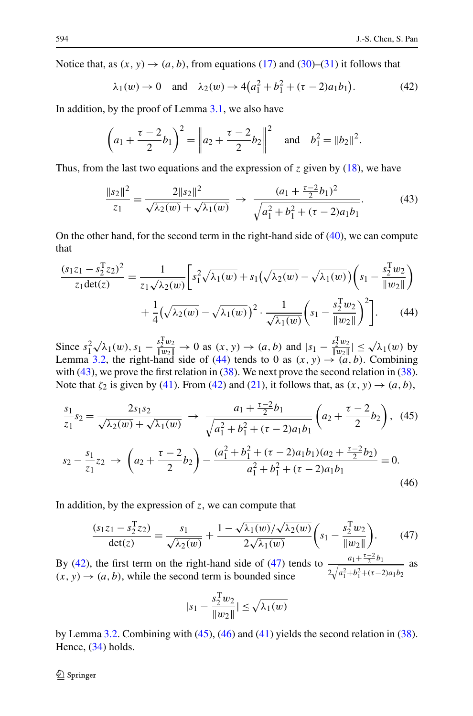<span id="page-13-0"></span>Notice that, as  $(x, y) \rightarrow (a, b)$ , from equations ([17\)](#page-5-0) and ([30\)](#page-11-0)–[\(31](#page-11-0)) it follows that

$$
\lambda_1(w) \to 0
$$
 and  $\lambda_2(w) \to 4(a_1^2 + b_1^2 + (\tau - 2)a_1b_1)$ . (42)

In addition, by the proof of Lemma [3.1,](#page-5-0) we also have

$$
\left(a_1 + \frac{\tau - 2}{2}b_1\right)^2 = \left\|a_2 + \frac{\tau - 2}{2}b_2\right\|^2 \quad \text{and} \quad b_1^2 = \|b_2\|^2.
$$

Thus, from the last two equations and the expression of *z* given by [\(18](#page-5-0)), we have

$$
\frac{\|s_2\|^2}{z_1} = \frac{2\|s_2\|^2}{\sqrt{\lambda_2(w)} + \sqrt{\lambda_1(w)}} \to \frac{(a_1 + \frac{\tau - 2}{2}b_1)^2}{\sqrt{a_1^2 + b_1^2 + (\tau - 2)a_1b_1}}.
$$
(43)

On the other hand, for the second term in the right-hand side of  $(40)$  $(40)$ , we can compute that

$$
\frac{(s_1 z_1 - s_2^{\mathrm{T}} z_2)^2}{z_1 \det(z)} = \frac{1}{z_1 \sqrt{\lambda_2(w)}} \left[ s_1^2 \sqrt{\lambda_1(w)} + s_1 \left( \sqrt{\lambda_2(w)} - \sqrt{\lambda_1(w)} \right) \left( s_1 - \frac{s_2^{\mathrm{T}} w_2}{\|w_2\|} \right) + \frac{1}{4} \left( \sqrt{\lambda_2(w)} - \sqrt{\lambda_1(w)} \right)^2 \cdot \frac{1}{\sqrt{\lambda_1(w)}} \left( s_1 - \frac{s_2^{\mathrm{T}} w_2}{\|w_2\|} \right)^2 \right].
$$
 (44)

Since  $s_1^2 \sqrt{\lambda_1(w)}$ ,  $s_1 - \frac{s_2^T w_2}{\|w_2\|} \to 0$  as  $(x, y) \to (a, b)$  and  $|s_1 - \frac{s_2^T w_2}{\|w_2\|} \le \sqrt{\lambda_1(w)}$  by<br>Lemma [3.2](#page-10-0), the right-hand side of (44) tends to 0 as  $(x, y) \to (a, b)$ . Combining with (43), we prove the first relation in ([38](#page-12-0)). We next prove the second relation in ([38\)](#page-12-0). Note that  $\zeta_2$  is given by [\(41](#page-12-0)). From (42) and [\(21](#page-5-0)), it follows that, as  $(x, y) \rightarrow (a, b)$ ,

$$
\frac{s_1}{z_1}s_2 = \frac{2s_1s_2}{\sqrt{\lambda_2(w)} + \sqrt{\lambda_1(w)}} \to \frac{a_1 + \frac{\tau - 2}{2}b_1}{\sqrt{a_1^2 + b_1^2 + (\tau - 2)a_1b_1}} \left(a_2 + \frac{\tau - 2}{2}b_2\right), (45)
$$

$$
s_2 - \frac{s_1}{z_1}z_2 \to \left(a_2 + \frac{\tau - 2}{2}b_2\right) - \frac{(a_1^2 + b_1^2 + (\tau - 2)a_1b_1)(a_2 + \frac{\tau - 2}{2}b_2)}{a_1^2 + b_1^2 + (\tau - 2)a_1b_1} = 0.
$$
(46)

In addition, by the expression of *z*, we can compute that

$$
\frac{(s_1 z_1 - s_2^{\mathrm{T}} z_2)}{\det(z)} = \frac{s_1}{\sqrt{\lambda_2(w)}} + \frac{1 - \sqrt{\lambda_1(w)} / \sqrt{\lambda_2(w)}}{2\sqrt{\lambda_1(w)}} \left( s_1 - \frac{s_2^{\mathrm{T}} w_2}{\|w_2\|} \right). \tag{47}
$$

By (42), the first term on the right-hand side of (47) tends to  $\frac{a_1 + \frac{a_2 - b_1}{2}b_1}{a_1 - a_2}$  $2\sqrt{a_1^2+b_1^2+(\tau-2)a_1b_2}$ as  $(x, y) \rightarrow (a, b)$ , while the second term is bounded since

$$
|s_1 - \frac{s_2^{\mathrm{T}} w_2}{\|w_2\|}\| \le \sqrt{\lambda_1(w)}
$$

by Lemma [3.2](#page-10-0). Combining with  $(45)$ ,  $(46)$  and  $(41)$  $(41)$  yields the second relation in ([38\)](#page-12-0). Hence, ([34\)](#page-11-0) holds.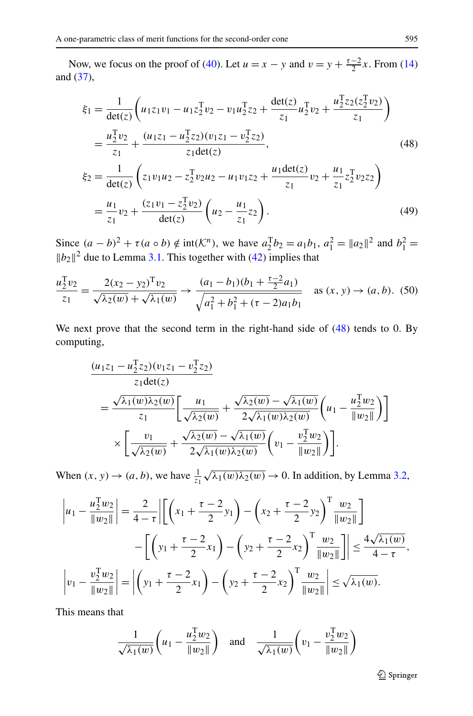<span id="page-14-0"></span>Now, we focus on the proof of [\(40](#page-12-0)). Let  $u = x - y$  and  $v = y + \frac{\tau - 2}{2}x$ . From [\(14](#page-3-0)) and [\(37\)](#page-12-0),

$$
\xi_1 = \frac{1}{\det(z)} \left( u_1 z_1 v_1 - u_1 z_2^{\mathrm{T}} v_2 - v_1 u_2^{\mathrm{T}} z_2 + \frac{\det(z)}{z_1} u_2^{\mathrm{T}} v_2 + \frac{u_2^{\mathrm{T}} z_2 (z_2^{\mathrm{T}} v_2)}{z_1} \right)
$$
\n
$$
= \frac{u_2^{\mathrm{T}} v_2}{z_1} + \frac{(u_1 z_1 - u_2^{\mathrm{T}} z_2)(v_1 z_1 - v_2^{\mathrm{T}} z_2)}{z_1 \det(z)},
$$
\n
$$
\xi_2 = \frac{1}{\det(z)} \left( z_1 v_1 u_2 - z_2^{\mathrm{T}} v_2 u_2 - u_1 v_1 z_2 + \frac{u_1 \det(z)}{z_1} v_2 + \frac{u_1}{z_1} z_2^{\mathrm{T}} v_2 z_2 \right)
$$
\n
$$
= \frac{u_1}{z_1} v_2 + \frac{(z_1 v_1 - z_2^{\mathrm{T}} v_2)}{\det(z)} \left( u_2 - \frac{u_1}{z_1} z_2 \right).
$$
\n(49)

Since  $(a - b)^2 + \tau(a \circ b) \notin \text{int}(\mathcal{K}^n)$ , we have  $a_2^T b_2 = a_1 b_1$ ,  $a_1^2 = ||a_2||^2$  and  $b_1^2 =$  $||b_2||^2$  due to Lemma [3.1](#page-5-0). This together with [\(42](#page-13-0)) implies that

$$
\frac{u_2^{\mathrm{T}}v_2}{z_1} = \frac{2(x_2 - y_2)^{\mathrm{T}}v_2}{\sqrt{\lambda_2(w)} + \sqrt{\lambda_1(w)}} \to \frac{(a_1 - b_1)(b_1 + \frac{\tau - 2}{2}a_1)}{\sqrt{a_1^2 + b_1^2 + (\tau - 2)a_1b_1}} \quad \text{as } (x, y) \to (a, b). \tag{50}
$$

We next prove that the second term in the right-hand side of (48) tends to 0. By computing,

$$
\frac{(u_1 z_1 - u_2^T z_2)(v_1 z_1 - v_2^T z_2)}{z_1 \det(z)} = \frac{\sqrt{\lambda_1(w)\lambda_2(w)}}{z_1} \left[ \frac{u_1}{\sqrt{\lambda_2(w)}} + \frac{\sqrt{\lambda_2(w)} - \sqrt{\lambda_1(w)}}{2\sqrt{\lambda_1(w)\lambda_2(w)}} \left( u_1 - \frac{u_2^T w_2}{\|w_2\|} \right) \right] \times \left[ \frac{v_1}{\sqrt{\lambda_2(w)}} + \frac{\sqrt{\lambda_2(w)} - \sqrt{\lambda_1(w)}}{2\sqrt{\lambda_1(w)\lambda_2(w)}} \left( v_1 - \frac{v_2^T w_2}{\|w_2\|} \right) \right].
$$

When  $(x, y) \rightarrow (a, b)$ , we have  $\frac{1}{z_1} \sqrt{\lambda_1(w) \lambda_2(w)} \rightarrow 0$ . In addition, by Lemma [3.2](#page-10-0),

$$
\left| u_1 - \frac{u_2^{\mathrm{T}} w_2}{\| w_2 \|} \right| = \frac{2}{4 - \tau} \left| \left[ \left( x_1 + \frac{\tau - 2}{2} y_1 \right) - \left( x_2 + \frac{\tau - 2}{2} y_2 \right)^{\mathrm{T}} \frac{w_2}{\| w_2 \|} \right] - \left[ \left( y_1 + \frac{\tau - 2}{2} x_1 \right) - \left( y_2 + \frac{\tau - 2}{2} x_2 \right)^{\mathrm{T}} \frac{w_2}{\| w_2 \|} \right] \right| \le \frac{4 \sqrt{\lambda_1(w)}}{4 - \tau},
$$

$$
\left| v_1 - \frac{v_2^{\mathrm{T}} w_2}{\| w_2 \|} \right| = \left| \left( y_1 + \frac{\tau - 2}{2} x_1 \right) - \left( y_2 + \frac{\tau - 2}{2} x_2 \right)^{\mathrm{T}} \frac{w_2}{\| w_2 \|} \right| \le \sqrt{\lambda_1(w)}.
$$

This means that

$$
\frac{1}{\sqrt{\lambda_1(w)}} \left( u_1 - \frac{u_2^{\mathrm{T}} w_2}{\|w_2\|} \right) \quad \text{and} \quad \frac{1}{\sqrt{\lambda_1(w)}} \left( v_1 - \frac{v_2^{\mathrm{T}} w_2}{\|w_2\|} \right)
$$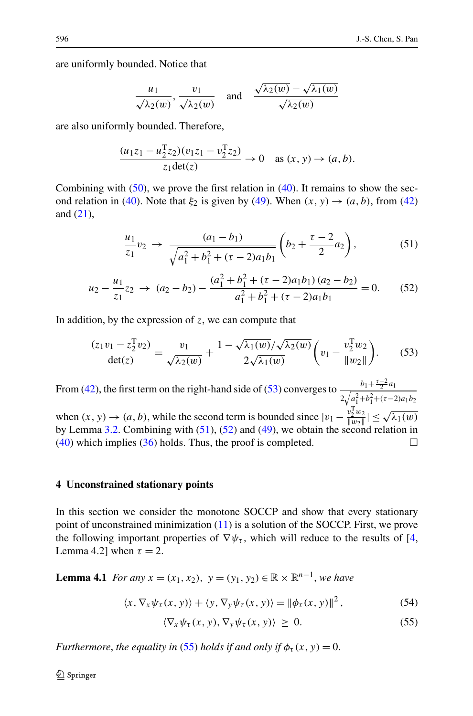<span id="page-15-0"></span>are uniformly bounded. Notice that

$$
\frac{u_1}{\sqrt{\lambda_2(w)}}, \frac{v_1}{\sqrt{\lambda_2(w)}} \quad \text{and} \quad \frac{\sqrt{\lambda_2(w)} - \sqrt{\lambda_1(w)}}{\sqrt{\lambda_2(w)}}
$$

are also uniformly bounded. Therefore,

$$
\frac{(u_1z_1 - u_2^Tz_2)(v_1z_1 - v_2^Tz_2)}{z_1\det(z)} \to 0 \quad \text{as } (x, y) \to (a, b).
$$

Combining with  $(50)$  $(50)$ , we prove the first relation in  $(40)$  $(40)$ . It remains to show the sec-ond relation in ([40\)](#page-12-0). Note that  $\xi_2$  is given by [\(49](#page-14-0)). When  $(x, y) \rightarrow (a, b)$ , from [\(42](#page-13-0)) and [\(21\)](#page-5-0),

$$
\frac{u_1}{z_1}v_2 \to \frac{(a_1 - b_1)}{\sqrt{a_1^2 + b_1^2 + (\tau - 2)a_1b_1}} \left(b_2 + \frac{\tau - 2}{2}a_2\right),\tag{51}
$$

$$
u_2 - \frac{u_1}{z_1} z_2 \to (a_2 - b_2) - \frac{(a_1^2 + b_1^2 + (\tau - 2)a_1 b_1)(a_2 - b_2)}{a_1^2 + b_1^2 + (\tau - 2)a_1 b_1} = 0.
$$
 (52)

In addition, by the expression of *z*, we can compute that

$$
\frac{(z_1v_1 - z_2^Tv_2)}{\det(z)} = \frac{v_1}{\sqrt{\lambda_2(w)}} + \frac{1 - \sqrt{\lambda_1(w)}/\sqrt{\lambda_2(w)}}{2\sqrt{\lambda_1(w)}} \left(v_1 - \frac{v_2^Tw_2}{\|w_2\|}\right). \tag{53}
$$

From ([42\)](#page-13-0), the first term on the right-hand side of (53) converges to  $\frac{b_1 + \frac{\tau-2}{2}a_1}{\sqrt{2\cdot2}}$  $2\sqrt{a_1^2+b_1^2+(\tau-2)a_1b_2}$ when  $(x, y) \rightarrow (a, b)$ , while the second term is bounded since  $|v_1 - v_2^T w_2| \le \sqrt{\lambda_1(w)}$ by Lemma [3.2.](#page-10-0) Combining with  $(51)$ ,  $(52)$  and  $(49)$  $(49)$ , we obtain the second relation in [\(40](#page-12-0)) which implies ([36\)](#page-12-0) holds. Thus, the proof is completed.  $\Box$ 

#### **4 Unconstrained stationary points**

In this section we consider the monotone SOCCP and show that every stationary point of unconstrained minimization [\(11](#page-2-0)) is a solution of the SOCCP. First, we prove the following important properties of  $\nabla \psi_\tau$ , which will reduce to the results of [\[4](#page-24-0), Lemma 4.2] when  $\tau = 2$ .

**Lemma 4.1** *For any x* =  $(x_1, x_2)$ , *y* =  $(y_1, y_2)$  ∈ ℝ × ℝ<sup>*n*-1</sup>, *we have* 

$$
\langle x, \nabla_x \psi_\tau(x, y) \rangle + \langle y, \nabla_y \psi_\tau(x, y) \rangle = ||\phi_\tau(x, y)||^2, \tag{54}
$$

$$
\langle \nabla_x \psi_\tau(x, y), \nabla_y \psi_\tau(x, y) \rangle \ge 0. \tag{55}
$$

*Furthermore, the equality in* (55) *holds if and only if*  $\phi_{\tau}(x, y) = 0$ .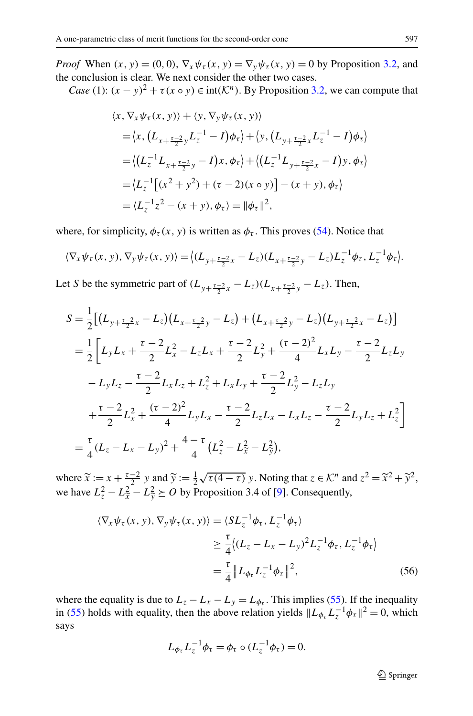*Proof* When  $(x, y) = (0, 0)$ ,  $\nabla_x \psi_\tau(x, y) = \nabla_y \psi_\tau(x, y) = 0$  by Proposition [3.2,](#page-6-0) and the conclusion is clear. We next consider the other two cases.

*Case* (1):  $(x - y)^2 + \tau(x \circ y) \in \text{int}(\mathcal{K}^n)$ . By Proposition [3.2,](#page-6-0) we can compute that

$$
\langle x, \nabla_x \psi_\tau(x, y) \rangle + \langle y, \nabla_y \psi_\tau(x, y) \rangle \n= \langle x, (L_{x + \frac{\tau - 2}{2}y} L_z^{-1} - I) \phi_\tau \rangle + \langle y, (L_{y + \frac{\tau - 2}{2}x} L_z^{-1} - I) \phi_\tau \rangle \n= \langle (L_z^{-1} L_{x + \frac{\tau - 2}{2}y} - I) x, \phi_\tau \rangle + \langle (L_z^{-1} L_{y + \frac{\tau - 2}{2}x} - I) y, \phi_\tau \rangle \n= \langle L_z^{-1} [(x^2 + y^2) + (\tau - 2)(x \circ y)] - (x + y), \phi_\tau \rangle \n= \langle L_z^{-1} z^2 - (x + y), \phi_\tau \rangle = ||\phi_\tau||^2,
$$

where, for simplicity,  $\phi_{\tau}(x, y)$  is written as  $\phi_{\tau}$ . This proves [\(54](#page-15-0)). Notice that

$$
\langle \nabla_x \psi_\tau(x, y), \nabla_y \psi_\tau(x, y) \rangle = \langle (L_{y + \frac{\tau - 2}{2}x} - L_z)(L_{x + \frac{\tau - 2}{2}y} - L_z)L_z^{-1} \phi_\tau, L_z^{-1} \phi_\tau \rangle.
$$

Let *S* be the symmetric part of  $(L_{y+\frac{\tau-2}{2}x} - L_z)(L_{x+\frac{\tau-2}{2}y} - L_z)$ . Then,

$$
S = \frac{1}{2} \Big[ (L_{y+\frac{\tau-2}{2}x} - L_z)(L_{x+\frac{\tau-2}{2}y} - L_z) + (L_{x+\frac{\tau-2}{2}y} - L_z)(L_{y+\frac{\tau-2}{2}x} - L_z) \Big]
$$
  
\n
$$
= \frac{1}{2} \Big[ L_y L_x + \frac{\tau-2}{2} L_x^2 - L_z L_x + \frac{\tau-2}{2} L_y^2 + \frac{(\tau-2)^2}{4} L_x L_y - \frac{\tau-2}{2} L_z L_y
$$
  
\n
$$
-L_y L_z - \frac{\tau-2}{2} L_x L_z + L_z^2 + L_x L_y + \frac{\tau-2}{2} L_y^2 - L_z L_y
$$
  
\n
$$
+ \frac{\tau-2}{2} L_x^2 + \frac{(\tau-2)^2}{4} L_y L_x - \frac{\tau-2}{2} L_z L_x - L_x L_z - \frac{\tau-2}{2} L_y L_z + L_z^2 \Big]
$$
  
\n
$$
= \frac{\tau}{4} (L_z - L_x - L_y)^2 + \frac{4-\tau}{4} (L_z^2 - L_x^2 - L_y^2),
$$

where  $\tilde{x} := x + \frac{\tau - 2}{2} y$  and  $\tilde{y} := \frac{1}{2} \sqrt{\tau (4 - \tau)} y$ . Noting that  $z \in \mathcal{K}^n$  and  $z^2 = \tilde{x}^2 + \tilde{y}^2$ , we have  $L_z^2 - L_{\tilde{x}}^2 - L_{\tilde{y}}^2 \succeq O$  by Proposition 3.4 of [\[9](#page-24-0)]. Consequently,

$$
\langle \nabla_x \psi_\tau(x, y), \nabla_y \psi_\tau(x, y) \rangle = \langle SL_z^{-1} \phi_\tau, L_z^{-1} \phi_\tau \rangle
$$
  
\n
$$
\geq \frac{\tau}{4} \langle (L_z - L_x - L_y)^2 L_z^{-1} \phi_\tau, L_z^{-1} \phi_\tau \rangle
$$
  
\n
$$
= \frac{\tau}{4} \| L_{\phi_\tau} L_z^{-1} \phi_\tau \|^2, \tag{56}
$$

where the equality is due to  $L_z - L_x - L_y = L_{\phi_\tau}$ . This implies [\(55](#page-15-0)). If the inequality in ([55\)](#page-15-0) holds with equality, then the above relation yields  $\|L_{\phi_{\tau}} L_z^{-1} \phi_{\tau}\|^2 = 0$ , which says

$$
L_{\phi_{\tau}}L_z^{-1}\phi_{\tau}=\phi_{\tau}\circ (L_z^{-1}\phi_{\tau})=0.
$$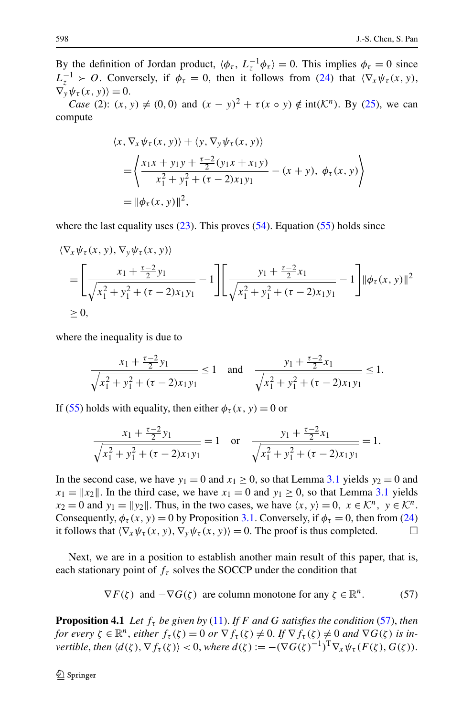<span id="page-17-0"></span>By the definition of Jordan product,  $\langle \phi_\tau, L_z^{-1} \phi_\tau \rangle = 0$ . This implies  $\phi_\tau = 0$  since  $L_z^{-1}$  > *O*. Conversely, if  $\phi_\tau = 0$ , then it follows from ([24\)](#page-6-0) that  $(\nabla_x \psi_\tau(x, y),$  $\nabla_{\mathbf{v}} \psi_{\tau}(\mathbf{x},\mathbf{v}) = 0.$ 

*Case* (2):  $(x, y) \neq (0, 0)$  and  $(x - y)^2 + \tau(x \circ y) \notin \text{int}(\mathcal{K}^n)$ . By [\(25](#page-7-0)), we can compute

$$
\langle x, \nabla_x \psi_\tau(x, y) \rangle + \langle y, \nabla_y \psi_\tau(x, y) \rangle \n= \left\langle \frac{x_1 x + y_1 y + \frac{\tau - 2}{2} (y_1 x + x_1 y)}{x_1^2 + y_1^2 + (\tau - 2) x_1 y_1} - (x + y), \phi_\tau(x, y) \right\rangle \n= ||\phi_\tau(x, y)||^2,
$$

where the last equality uses  $(23)$  $(23)$ . This proves  $(54)$  $(54)$ . Equation  $(55)$  $(55)$  holds since

$$
\langle \nabla_x \psi_\tau(x, y), \nabla_y \psi_\tau(x, y) \rangle
$$
\n
$$
= \left[ \frac{x_1 + \frac{\tau - 2}{2} y_1}{\sqrt{x_1^2 + y_1^2 + (\tau - 2) x_1 y_1}} - 1 \right] \left[ \frac{y_1 + \frac{\tau - 2}{2} x_1}{\sqrt{x_1^2 + y_1^2 + (\tau - 2) x_1 y_1}} - 1 \right] ||\phi_\tau(x, y)||^2
$$
\n
$$
\geq 0,
$$

where the inequality is due to

$$
\frac{x_1 + \frac{\tau - 2}{2}y_1}{\sqrt{x_1^2 + y_1^2 + (\tau - 2)x_1y_1}} \le 1 \quad \text{and} \quad \frac{y_1 + \frac{\tau - 2}{2}x_1}{\sqrt{x_1^2 + y_1^2 + (\tau - 2)x_1y_1}} \le 1.
$$

If [\(55](#page-15-0)) holds with equality, then either  $\phi_{\tau}(x, y) = 0$  or

$$
\frac{x_1 + \frac{\tau - 2}{2}y_1}{\sqrt{x_1^2 + y_1^2 + (\tau - 2)x_1y_1}} = 1 \quad \text{or} \quad \frac{y_1 + \frac{\tau - 2}{2}x_1}{\sqrt{x_1^2 + y_1^2 + (\tau - 2)x_1y_1}} = 1.
$$

In the second case, we have  $y_1 = 0$  and  $x_1 \ge 0$ , so that Lemma [3.1](#page-5-0) yields  $y_2 = 0$  and  $x_1 = ||x_2||$ . In the third case, we have  $x_1 = 0$  and  $y_1 \ge 0$ , so that Lemma [3.1](#page-5-0) yields  $x_2 = 0$  and  $y_1 = ||y_2||$ . Thus, in the two cases, we have  $\langle x, y \rangle = 0$ ,  $x \in \mathcal{K}^n$ ,  $y \in \mathcal{K}^n$ . Consequently,  $\phi_{\tau}(x, y) = 0$  by Proposition [3.1.](#page-4-0) Conversely, if  $\phi_{\tau} = 0$ , then from [\(24](#page-6-0)) it follows that  $\langle \nabla_x \psi_\tau(x, y), \nabla_y \psi_\tau(x, y) \rangle = 0$ . The proof is thus completed.  $\Box$ 

Next, we are in a position to establish another main result of this paper, that is, each stationary point of  $f<sub>\tau</sub>$  solves the SOCCP under the condition that

$$
\nabla F(\zeta) \text{ and } -\nabla G(\zeta) \text{ are column monotone for any } \zeta \in \mathbb{R}^n. \tag{57}
$$

**Proposition 4.1** Let  $f_\tau$  be given by ([11\)](#page-2-0). If F and G satisfies the condition (57), then *for every*  $\zeta \in \mathbb{R}^n$ , *either*  $f_\tau(\zeta) = 0$  *or*  $\nabla f_\tau(\zeta) \neq 0$ . *If*  $\nabla f_\tau(\zeta) \neq 0$  *and*  $\nabla G(\zeta)$  *is invertible, then*  $\langle d(\zeta), \nabla f_{\tau}(\zeta) \rangle < 0$ , *where*  $d(\zeta) := -(\nabla G(\zeta)^{-1})^{\mathrm{T}} \nabla_{x} \psi_{\tau}(F(\zeta), G(\zeta))$ .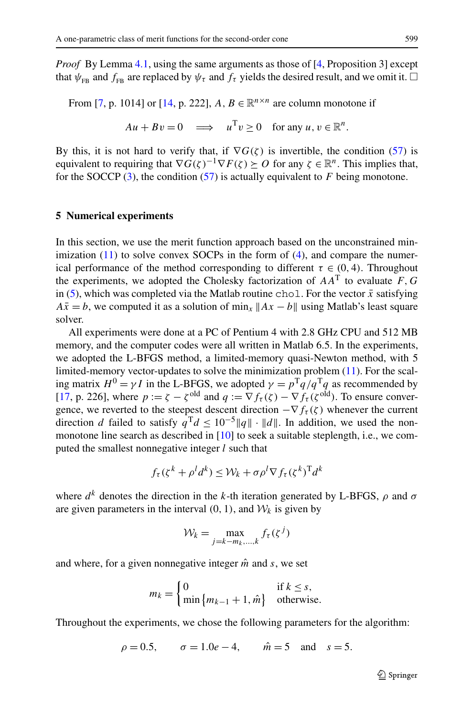*Proof* By Lemma [4.1,](#page-15-0) using the same arguments as those of [\[4](#page-24-0), Proposition 3] except that  $\psi_{FB}$  and  $f_{FB}$  are replaced by  $\psi_{\tau}$  and  $f_{\tau}$  yields the desired result, and we omit it.  $\Box$ 

From [\[7](#page-24-0), p. 1014] or [[14,](#page-24-0) p. 222],  $A, B \in \mathbb{R}^{n \times n}$  are column monotone if

$$
Au + Bv = 0 \implies u^{\mathrm{T}}v \ge 0 \quad \text{for any } u, v \in \mathbb{R}^n.
$$

By this, it is not hard to verify that, if  $\nabla G(\zeta)$  is invertible, the condition ([57\)](#page-17-0) is equivalent to requiring that  $\nabla G(\zeta)^{-1}\nabla F(\zeta) \succeq O$  for any  $\zeta \in \mathbb{R}^n$ . This implies that, for the SOCCP ([3\)](#page-1-0), the condition [\(57](#page-17-0)) is actually equivalent to *F* being monotone.

#### **5 Numerical experiments**

In this section, we use the merit function approach based on the unconstrained minimization  $(11)$  $(11)$  to solve convex SOCPs in the form of  $(4)$  $(4)$ , and compare the numerical performance of the method corresponding to different  $\tau \in (0, 4)$ . Throughout the experiments, we adopted the Cholesky factorization of  $AA<sup>T</sup>$  to evaluate  $F, G$ in [\(5](#page-1-0)), which was completed via the Matlab routine chol. For the vector  $\bar{x}$  satisfying  $A\bar{x} = b$ , we computed it as a solution of min<sub>*x*</sub>  $||Ax - b||$  using Matlab's least square solver.

All experiments were done at a PC of Pentium 4 with 2.8 GHz CPU and 512 MB memory, and the computer codes were all written in Matlab 6.5. In the experiments, we adopted the L-BFGS method, a limited-memory quasi-Newton method, with 5 limited-memory vector-updates to solve the minimization problem [\(11](#page-2-0)). For the scaling matrix  $H^0 = \gamma I$  in the L-BFGS, we adopted  $\gamma = p^T q / q^T q$  as recommended by [\[17](#page-25-0), p. 226], where  $p := \zeta - \zeta^{old}$  and  $q := \nabla f_\tau(\zeta) - \nabla f_\tau(\zeta^{old})$ . To ensure convergence, we reverted to the steepest descent direction  $-\nabla f_\tau(\zeta)$  whenever the current direction *d* failed to satisfy  $q^T d \leq 10^{-5} ||q|| \cdot ||d||$ . In addition, we used the nonmonotone line search as described in [\[10](#page-24-0)] to seek a suitable steplength, i.e., we computed the smallest nonnegative integer *l* such that

$$
f_{\tau}(\zeta^k + \rho^l d^k) \leq \mathcal{W}_k + \sigma \rho^l \nabla f_{\tau}(\zeta^k)^{\mathrm{T}} d^k
$$

where  $d^k$  denotes the direction in the *k*-th iteration generated by L-BFGS,  $\rho$  and  $\sigma$ are given parameters in the interval  $(0, 1)$ , and  $\mathcal{W}_k$  is given by

$$
\mathcal{W}_k = \max_{j=k-m_k,\dots,k} f_\tau(\zeta^j)
$$

and where, for a given nonnegative integer  $\hat{m}$  and  $s$ , we set

$$
m_k = \begin{cases} 0 & \text{if } k \le s, \\ \min\{m_{k-1} + 1, \hat{m}\} & \text{otherwise.} \end{cases}
$$

Throughout the experiments, we chose the following parameters for the algorithm:

$$
\rho = 0.5
$$
,  $\sigma = 1.0e - 4$ ,  $\hat{m} = 5$  and  $s = 5$ .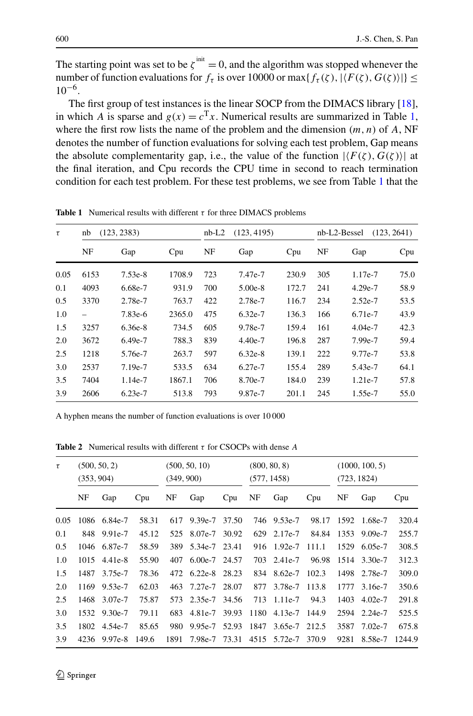The starting point was set to be  $\zeta^{init} = 0$ , and the algorithm was stopped whenever the number of function evaluations for  $f_\tau$  is over 10000 or max $\{f_\tau(\zeta),|\langle F(\zeta),G(\zeta)\rangle|\}\leq$  $10^{-6}$ .

The first group of test instances is the linear SOCP from the DIMACS library [[18\]](#page-25-0), in which *A* is sparse and  $g(x) = c^{T}x$ . Numerical results are summarized in Table 1, where the first row lists the name of the problem and the dimension  $(m, n)$  of  $A$ , NF denotes the number of function evaluations for solving each test problem, Gap means the absolute complementarity gap, i.e., the value of the function  $|\langle F(\zeta), G(\zeta) \rangle|$  at the final iteration, and Cpu records the CPU time in second to reach termination condition for each test problem. For these test problems, we see from Table 1 that the

| τ    | nb   | (123, 2383) |        | $nb-L2$ | (123, 4195) |       | nb-L2-Bessel<br>(123, 2641) |           |      |  |
|------|------|-------------|--------|---------|-------------|-------|-----------------------------|-----------|------|--|
|      | NF   | Gap         | Cpu    | NF      | Gap         | Cpu   | NF                          | Gap       | Cpu  |  |
| 0.05 | 6153 | $7.53e-8$   | 1708.9 | 723     | 7.47e-7     | 230.9 | 305                         | 1.17e-7   | 75.0 |  |
| 0.1  | 4093 | 6.68e-7     | 931.9  | 700     | $5.00e-8$   | 172.7 | 241                         | $4.29e-7$ | 58.9 |  |
| 0.5  | 3370 | 2.78e-7     | 763.7  | 422     | 2.78e-7     | 116.7 | 234                         | $2.52e-7$ | 53.5 |  |
| 1.0  |      | 7.83e-6     | 2365.0 | 475     | $6.32e-7$   | 136.3 | 166                         | 6.71e-7   | 43.9 |  |
| 1.5  | 3257 | $6.36e-8$   | 734.5  | 605     | 9.78e-7     | 159.4 | 161                         | $4.04e-7$ | 42.3 |  |
| 2.0  | 3672 | 6.49e-7     | 788.3  | 839     | $4.40e-7$   | 196.8 | 287                         | 7.99e-7   | 59.4 |  |
| 2.5  | 1218 | 5.76e-7     | 263.7  | 597     | $6.32e-8$   | 139.1 | 222                         | 9.77e-7   | 53.8 |  |
| 3.0  | 2537 | 7.19e-7     | 533.5  | 634     | 6.27e-7     | 155.4 | 289                         | 5.43e-7   | 64.1 |  |
| 3.5  | 7404 | 1.14e-7     | 1867.1 | 706     | 8.70e-7     | 184.0 | 239                         | 1.21e-7   | 57.8 |  |
| 3.9  | 2606 | $6.23e-7$   | 513.8  | 793     | 9.87e-7     | 201.1 | 245                         | 1.55e-7   | 55.0 |  |

**Table 1** Numerical results with different  $\tau$  for three DIMACS problems

A hyphen means the number of function evaluations is over 10 000

| τ    | (500, 50, 2)<br>(353, 904) |              |       | (500, 50, 10)<br>(349, 900) |                 | (800, 80, 8)<br>(577, 1458) |      |                    | (1000, 100, 5)<br>(723, 1824) |      |              |        |
|------|----------------------------|--------------|-------|-----------------------------|-----------------|-----------------------------|------|--------------------|-------------------------------|------|--------------|--------|
|      | NF                         | Gap          | Cpu   | NF                          | Gap             | Cpu                         | NF   | Gap                | Cpu                           | NF   | Gap          | Cpu    |
| 0.05 |                            | 1086 6.84e-7 | 58.31 | 617                         | 9.39e-7 37.50   |                             |      | 746 9.53e-7        | 98.17                         |      | 1592 1.68e-7 | 320.4  |
| 0.1  |                            | 848 9.91e-7  | 45.12 | 525                         | 8.07e-7         | 30.92                       | 629  | 2.17e-7            | 84.84                         | 1353 | $9.09e-7$    | 255.7  |
| 0.5  |                            | 1046 6.87e-7 | 58.59 | 389                         | 5.34e-7 23.41   |                             | 916  | 1.92e-7            | 111.1                         | 1529 | 6.05e-7      | 308.5  |
| 1.0  | 1015                       | 4.41e-8      | 55.90 | 407                         | $6.00e-7$ 24.57 |                             | 703  | 2.41e-7            | 96.98                         |      | 1514 3.30e-7 | 312.3  |
| 1.5  | 1487                       | 3.75e-7      | 78.36 | 472                         | $6.22e-8$       | 28.23                       | 834  | $8.62e-7$          | 102.3                         | 1498 | 2.78e-7      | 309.0  |
| 2.0  | 1169                       | 9.53e-7      | 62.03 |                             | 463 7.27e-7     | 28.07                       | 877  | 3.78e-7            | 113.8                         | 1777 | 3.16e-7      | 350.6  |
| 2.5  | 1468                       | 3.07e-7      | 75.87 | 573                         | 2.35e-7         | 34.56                       | 713  | $1.11e-7$          | 94.3                          | 1403 | $4.02e-7$    | 291.8  |
| 3.0  | 1532                       | 9.30e-7      | 79.11 | 683                         | 4.81e-7         | 39.93                       | 1180 | 4.13e-7            | 144.9                         |      | 2594 2.24e-7 | 525.5  |
| 3.5  |                            | 1802 4.54e-7 | 85.65 | 980                         | 9.95e-7         | 52.93                       |      | 1847 3.65e-7 212.5 |                               |      | 3587 7.02e-7 | 675.8  |
| 3.9  | 4236                       | $9.97e-8$    | 149.6 | 1891                        | 7.98e-7         | 73.31                       |      | 4515 5.72e-7       | 370.9                         | 9281 | 8.58e-7      | 1244.9 |

**Table 2** Numerical results with different *τ* for CSOCPs with dense *A*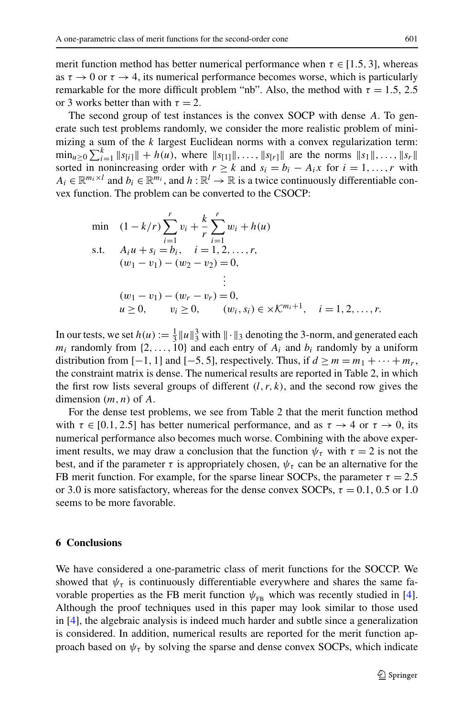merit function method has better numerical performance when  $\tau \in [1.5, 3]$ , whereas as  $\tau \to 0$  or  $\tau \to 4$ , its numerical performance becomes worse, which is particularly remarkable for the more difficult problem "nb". Also, the method with *τ* = 1*.*5, 2*.*5 or 3 works better than with  $\tau = 2$ .

The second group of test instances is the convex SOCP with dense *A*. To generate such test problems randomly, we consider the more realistic problem of minimizing a sum of the *k* largest Euclidean norms with a convex regularization term:  $\min_{u \geq 0} \sum_{i=1}^{k} \|s_{[i]}\| + h(u)$ , where  $\|s_{[1]}\|, \ldots, \|s_{[r]}\|$  are the norms  $\|s_1\|, \ldots, \|s_r\|$ sorted in nonincreasing order with  $r \geq k$  and  $s_i = b_i - A_i x$  for  $i = 1, ..., r$  with  $A_i \in \mathbb{R}^{m_i \times l}$  and  $b_i \in \mathbb{R}^{m_i}$ , and  $h : \mathbb{R}^l \to \mathbb{R}$  is a twice continuously differentiable convex function. The problem can be converted to the CSOCP:

min (1-k/r) 
$$
\sum_{i=1}^{r} v_i + \frac{k}{r} \sum_{i=1}^{r} w_i + h(u)
$$
  
s.t.  $A_i u + s_i = b_i$ ,  $i = 1, 2, ..., r$ ,  
\n $(w_1 - v_1) - (w_2 - v_2) = 0$ ,  
\n $\vdots$   
\n $(w_1 - v_1) - (w_r - v_r) = 0$ ,  
\n $u \ge 0$ ,  $v_i \ge 0$ ,  $(w_i, s_i) \in \times \mathcal{K}^{m_i+1}$ ,  $i = 1, 2, ..., r$ .

In our tests, we set  $h(u) := \frac{1}{3} ||u||_3^3$  with  $|| \cdot ||_3$  denoting the 3-norm, and generated each  $m_i$  randomly from  $\{2, \ldots, 10\}$  and each entry of  $A_i$  and  $b_i$  randomly by a uniform distribution from  $[-1, 1]$  and  $[-5, 5]$ , respectively. Thus, if  $d \ge m = m_1 + \cdots + m_r$ , the constraint matrix is dense. The numerical results are reported in Table 2, in which the first row lists several groups of different  $(l, r, k)$ , and the second row gives the dimension *(m,n)* of *A*.

For the dense test problems, we see from Table 2 that the merit function method with  $\tau \in [0.1, 2.5]$  has better numerical performance, and as  $\tau \to 4$  or  $\tau \to 0$ , its numerical performance also becomes much worse. Combining with the above experiment results, we may draw a conclusion that the function  $\psi_{\tau}$  with  $\tau = 2$  is not the best, and if the parameter  $\tau$  is appropriately chosen,  $\psi_{\tau}$  can be an alternative for the FB merit function. For example, for the sparse linear SOCPs, the parameter  $\tau = 2.5$ or 3.0 is more satisfactory, whereas for the dense convex SOCPs,  $\tau = 0.1, 0.5$  or 1.0 seems to be more favorable.

# **6 Conclusions**

We have considered a one-parametric class of merit functions for the SOCCP. We showed that  $\psi_{\tau}$  is continuously differentiable everywhere and shares the same favorable properties as the FB merit function  $\psi_{FB}$  which was recently studied in [[4\]](#page-24-0). Although the proof techniques used in this paper may look similar to those used in [\[4](#page-24-0)], the algebraic analysis is indeed much harder and subtle since a generalization is considered. In addition, numerical results are reported for the merit function approach based on  $\psi_{\tau}$  by solving the sparse and dense convex SOCPs, which indicate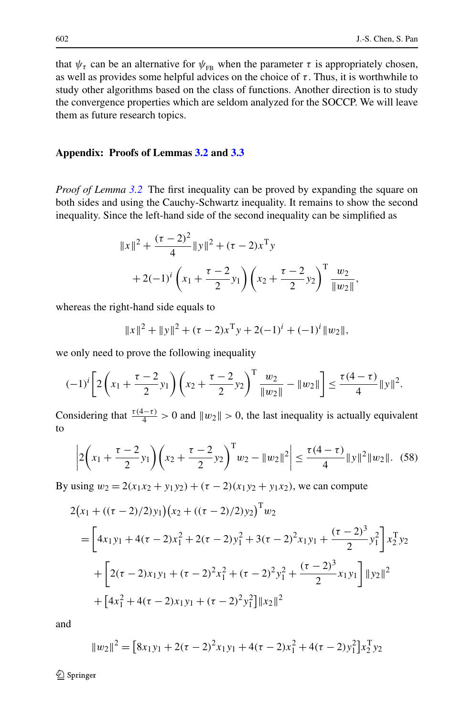<span id="page-21-0"></span>that  $\psi_{\tau}$  can be an alternative for  $\psi_{FB}$  when the parameter  $\tau$  is appropriately chosen, as well as provides some helpful advices on the choice of  $\tau$ . Thus, it is worthwhile to study other algorithms based on the class of functions. Another direction is to study the convergence properties which are seldom analyzed for the SOCCP. We will leave them as future research topics.

## **Appendix: Proofs of Lemmas [3.2](#page-10-0) and [3.3](#page-10-0)**

*Proof of Lemma [3.2](#page-10-0)* The first inequality can be proved by expanding the square on both sides and using the Cauchy-Schwartz inequality. It remains to show the second inequality. Since the left-hand side of the second inequality can be simplified as

$$
||x||^{2} + \frac{(\tau - 2)^{2}}{4} ||y||^{2} + (\tau - 2)x^{T}y
$$
  
+2(-1)<sup>i</sup>  $\left(x_{1} + \frac{\tau - 2}{2}y_{1}\right) \left(x_{2} + \frac{\tau - 2}{2}y_{2}\right)^{T} \frac{w_{2}}{||w_{2}||},$ 

whereas the right-hand side equals to

$$
||x||^{2} + ||y||^{2} + (\tau - 2)x^{T}y + 2(-1)^{i} + (-1)^{i}||w_{2}||,
$$

we only need to prove the following inequality

$$
(-1)^{i} \left[ 2\left(x_{1} + \frac{\tau - 2}{2}y_{1}\right)\left(x_{2} + \frac{\tau - 2}{2}y_{2}\right)^{T} \frac{w_{2}}{\|w_{2}\|} - \|w_{2}\|\right] \le \frac{\tau(4-\tau)}{4} \|y\|^{2}.
$$

Considering that  $\frac{\tau(4-\tau)}{4} > 0$  and  $||w_2|| > 0$ , the last inequality is actually equivalent to

$$
\left|2\left(x_1+\frac{\tau-2}{2}y_1\right)\left(x_2+\frac{\tau-2}{2}y_2\right)^{\mathrm{T}}w_2-\|w_2\|^2\right|\leq\frac{\tau(4-\tau)}{4}\|y\|^2\|w_2\|.\tag{58}
$$

By using  $w_2 = 2(x_1x_2 + y_1y_2) + (\tau - 2)(x_1y_2 + y_1x_2)$ , we can compute

$$
2(x_1 + ((\tau - 2)/2)y_1)(x_2 + ((\tau - 2)/2)y_2)^T w_2
$$
  
=  $\left[4x_1y_1 + 4(\tau - 2)x_1^2 + 2(\tau - 2)y_1^2 + 3(\tau - 2)^2x_1y_1 + \frac{(\tau - 2)^3}{2}y_1^2\right]x_2^T y_2$   
+  $\left[2(\tau - 2)x_1y_1 + (\tau - 2)^2x_1^2 + (\tau - 2)^2y_1^2 + \frac{(\tau - 2)^3}{2}x_1y_1\right]||y_2||^2$   
+  $\left[4x_1^2 + 4(\tau - 2)x_1y_1 + (\tau - 2)^2y_1^2\right]||x_2||^2$ 

and

$$
||w_2||^2 = [8x_1y_1 + 2(\tau - 2)^2x_1y_1 + 4(\tau - 2)x_1^2 + 4(\tau - 2)y_1^2]x_2^{\mathrm{T}}y_2
$$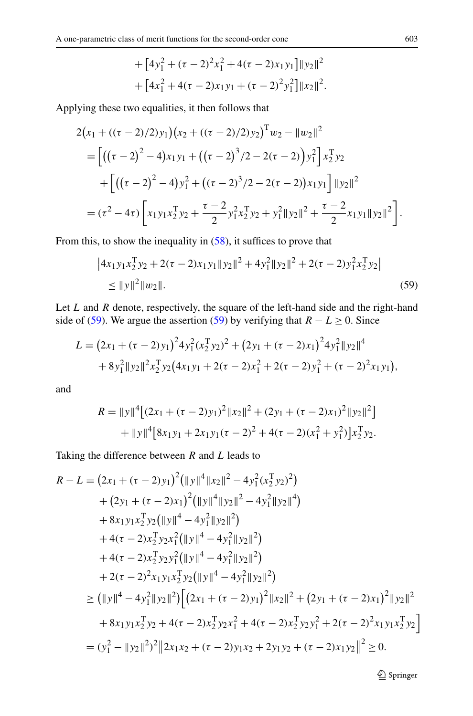+ 
$$
[4y_1^2 + (\tau - 2)^2x_1^2 + 4(\tau - 2)x_1y_1]||y_2||^2
$$
  
+  $[4x_1^2 + 4(\tau - 2)x_1y_1 + (\tau - 2)^2y_1^2]||x_2||^2$ .

Applying these two equalities, it then follows that

$$
2(x_1 + ((\tau - 2)/2)y_1)(x_2 + ((\tau - 2)/2)y_2)^T w_2 - ||w_2||^2
$$
  
= 
$$
\left[ ((\tau - 2)^2 - 4)x_1y_1 + ((\tau - 2)^3/2 - 2(\tau - 2))y_1^2 \right] x_2^T y_2
$$
  
+ 
$$
\left[ ((\tau - 2)^2 - 4)y_1^2 + ((\tau - 2)^3/2 - 2(\tau - 2))x_1y_1 \right] ||y_2||^2
$$
  
= 
$$
(\tau^2 - 4\tau) \left[ x_1y_1x_2^T y_2 + \frac{\tau - 2}{2}y_1^2x_2^T y_2 + y_1^2 ||y_2||^2 + \frac{\tau - 2}{2}x_1y_1 ||y_2||^2 \right].
$$

From this, to show the inequality in [\(58](#page-21-0)), it suffices to prove that

$$
|4x_1y_1x_2^Ty_2 + 2(\tau - 2)x_1y_1||y_2||^2 + 4y_1^2||y_2||^2 + 2(\tau - 2)y_1^2x_2^Ty_2|
$$
  
\n
$$
\le ||y||^2||w_2||. \tag{59}
$$

Let *L* and *R* denote, respectively, the square of the left-hand side and the right-hand side of (59). We argue the assertion (59) by verifying that  $R - L \ge 0$ . Since

$$
L = (2x_1 + (\tau - 2)y_1)^2 4y_1^2 (x_2^{\mathrm{T}} y_2)^2 + (2y_1 + (\tau - 2)x_1)^2 4y_1^2 ||y_2||^4
$$
  
+  $8y_1^2 ||y_2||^2 x_2^{\mathrm{T}} y_2 (4x_1y_1 + 2(\tau - 2)x_1^2 + 2(\tau - 2)y_1^2 + (\tau - 2)^2 x_1y_1),$ 

and

$$
R = ||y||^4 [(2x_1 + (\tau - 2)y_1)^2 ||x_2||^2 + (2y_1 + (\tau - 2)x_1)^2 ||y_2||^2]
$$
  
+ 
$$
||y||^4 [8x_1y_1 + 2x_1y_1(\tau - 2)^2 + 4(\tau - 2)(x_1^2 + y_1^2)]x_2^T y_2.
$$

Taking the difference between *R* and *L* leads to

$$
R - L = (2x_1 + (\tau - 2)y_1)^2 (||y||^4 ||x_2||^2 - 4y_1^2 (x_2^T y_2)^2)
$$
  
+  $(2y_1 + (\tau - 2)x_1)^2 (||y||^4 ||y_2||^2 - 4y_1^2 ||y_2||^4)$   
+  $8x_1y_1x_2^T y_2 (||y||^4 - 4y_1^2 ||y_2||^2)$   
+  $4(\tau - 2)x_2^T y_2x_1^2 (||y||^4 - 4y_1^2 ||y_2||^2)$   
+  $4(\tau - 2)x_2^T y_2y_1^2 (||y||^4 - 4y_1^2 ||y_2||^2)$   
+  $2(\tau - 2)^2 x_1y_1x_2^T y_2 (||y||^4 - 4y_1^2 ||y_2||^2)$   
 $\geq (||y||^4 - 4y_1^2 ||y_2||^2) [(2x_1 + (\tau - 2)y_1)^2 ||x_2||^2 + (2y_1 + (\tau - 2)x_1)^2 ||y_2||^2$   
+  $8x_1y_1x_2^T y_2 + 4(\tau - 2)x_2^T y_2x_1^2 + 4(\tau - 2)x_2^T y_2y_1^2 + 2(\tau - 2)^2 x_1y_1x_2^T y_2]$   
=  $(y_1^2 - ||y_2||^2)^2 ||2x_1x_2 + (\tau - 2)y_1x_2 + 2y_1y_2 + (\tau - 2)x_1y_2||^2 \geq 0.$ 

2 Springer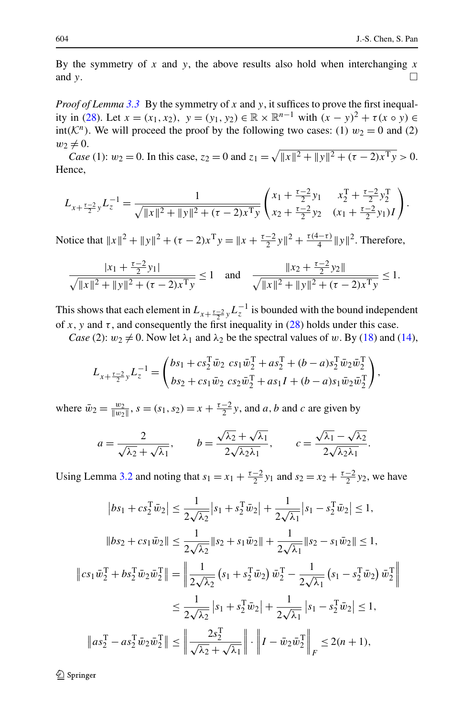By the symmetry of  $x$  and  $y$ , the above results also hold when interchanging  $x$ and *y*.

*Proof of Lemma* [3.3](#page-10-0) By the symmetry of x and y, it suffices to prove the first inequal-ity in ([28\)](#page-10-0). Let  $x = (x_1, x_2), y = (y_1, y_2) \in \mathbb{R} \times \mathbb{R}^{n-1}$  with  $(x - y)^2 + \tau(x \circ y) \in$ int( $K<sup>n</sup>$ ). We will proceed the proof by the following two cases: (1)  $w_2 = 0$  and (2)  $w_2 \neq 0$ .

*Case* (1):  $w_2 = 0$ . In this case,  $z_2 = 0$  and  $z_1 = \sqrt{\|x\|^2 + \|y\|^2 + (\tau - 2)x^{\mathrm{T}}y} > 0$ . Hence,

$$
L_{x+\frac{\tau-2}{2}y}L_{z}^{-1} = \frac{1}{\sqrt{\|x\|^2 + \|y\|^2 + (\tau-2)x^{\mathrm{T}}y}} \begin{pmatrix} x_1 + \frac{\tau-2}{2}y_1 & x_2^{\mathrm{T}} + \frac{\tau-2}{2}y_2^{\mathrm{T}} \\ x_2 + \frac{\tau-2}{2}y_2 & (x_1 + \frac{\tau-2}{2}y_1)I \end{pmatrix}.
$$

Notice that  $||x||^2 + ||y||^2 + (\tau - 2)x^T y = ||x + \frac{\tau - 2}{2}y||^2 + \frac{\tau(4 - \tau)}{4}||y||^2$ . Therefore,

$$
\frac{|x_1 + \frac{\tau - 2}{2}y_1|}{\sqrt{\|x\|^2 + \|y\|^2 + (\tau - 2)x^{\mathrm{T}}y}} \le 1 \quad \text{and} \quad \frac{\|x_2 + \frac{\tau - 2}{2}y_2\|}{\sqrt{\|x\|^2 + \|y\|^2 + (\tau - 2)x^{\mathrm{T}}y}} \le 1.
$$

This shows that each element in  $L_{x+\frac{\tau-2}{2}}$ ,  $L_z^{-1}$  is bounded with the bound independent of *x*, y and  $\tau$ , and consequently the first inequality in [\(28](#page-10-0)) holds under this case.

*Case* (2):  $w_2 \neq 0$ . Now let  $\lambda_1$  and  $\lambda_2$  be the spectral values of *w*. By [\(18](#page-5-0)) and ([14\)](#page-3-0),

$$
L_{x+\frac{\tau-2}{2}y}L_{z}^{-1} = \begin{pmatrix} bs_1 + cs_2^T \bar{w}_2 \ cs_1 \bar{w}_2^T + as_2^T + (b-a)s_2^T \bar{w}_2 \bar{w}_2^T \\ bs_2 + cs_1 \bar{w}_2 \ cs_2 \bar{w}_2^T + as_1 I + (b-a)s_1 \bar{w}_2 \bar{w}_2^T \end{pmatrix},
$$

where  $\bar{w}_2 = \frac{w_2}{\|w_2\|}$ ,  $s = (s_1, s_2) = x + \frac{\tau - 2}{2}y$ , and *a*, *b* and *c* are given by

$$
a = \frac{2}{\sqrt{\lambda_2} + \sqrt{\lambda_1}}, \qquad b = \frac{\sqrt{\lambda_2} + \sqrt{\lambda_1}}{2\sqrt{\lambda_2\lambda_1}}, \qquad c = \frac{\sqrt{\lambda_1} - \sqrt{\lambda_2}}{2\sqrt{\lambda_2\lambda_1}}.
$$

Using Lemma [3.2](#page-10-0) and noting that  $s_1 = x_1 + \frac{\tau - 2}{2}y_1$  and  $s_2 = x_2 + \frac{\tau - 2}{2}y_2$ , we have

$$
\left|bs_1 + cs_2^{\mathrm{T}}\bar{w}_2\right| \le \frac{1}{2\sqrt{\lambda_2}}\left|s_1 + s_2^{\mathrm{T}}\bar{w}_2\right| + \frac{1}{2\sqrt{\lambda_1}}\left|s_1 - s_2^{\mathrm{T}}\bar{w}_2\right| \le 1,
$$
  

$$
\left\|bs_2 + cs_1\bar{w}_2\right\| \le \frac{1}{2\sqrt{\lambda_2}}\left\|s_2 + s_1\bar{w}_2\right\| + \frac{1}{2\sqrt{\lambda_1}}\left\|s_2 - s_1\bar{w}_2\right\| \le 1,
$$
  

$$
\left\|cs_1\bar{w}_2^{\mathrm{T}} + bs_2^{\mathrm{T}}\bar{w}_2\bar{w}_2^{\mathrm{T}}\right\| = \left\|\frac{1}{2\sqrt{\lambda_2}}\left(s_1 + s_2^{\mathrm{T}}\bar{w}_2\right)\bar{w}_2^{\mathrm{T}} - \frac{1}{2\sqrt{\lambda_1}}\left(s_1 - s_2^{\mathrm{T}}\bar{w}_2\right)\bar{w}_2^{\mathrm{T}}\right\|
$$
  

$$
\le \frac{1}{2\sqrt{\lambda_2}}\left|s_1 + s_2^{\mathrm{T}}\bar{w}_2\right| + \frac{1}{2\sqrt{\lambda_1}}\left|s_1 - s_2^{\mathrm{T}}\bar{w}_2\right| \le 1,
$$
  

$$
\left\|as_2^{\mathrm{T}} - as_2^{\mathrm{T}}\bar{w}_2\bar{w}_2^{\mathrm{T}}\right\| \le \left\|\frac{2s_2^{\mathrm{T}}}{\sqrt{\lambda_2} + \sqrt{\lambda_1}}\right\| \cdot \left\|I - \bar{w}_2\bar{w}_2^{\mathrm{T}}\right\|_F \le 2(n+1),
$$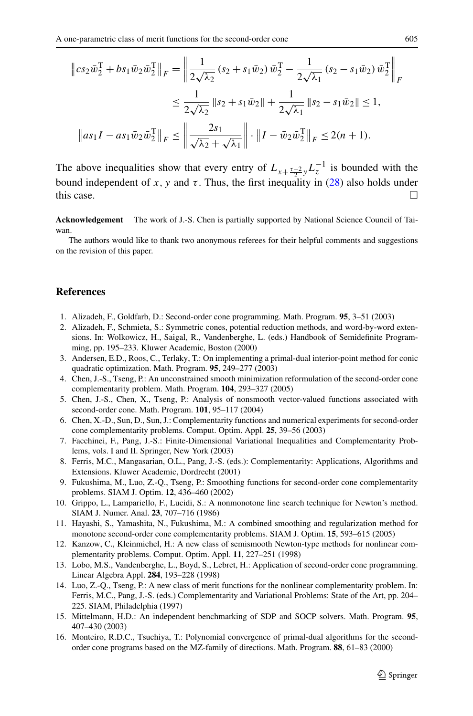<span id="page-24-0"></span>
$$
\|cs_2\bar{w}_2^{\mathrm{T}} + bs_1\bar{w}_2\bar{w}_2^{\mathrm{T}}\|_F = \left\|\frac{1}{2\sqrt{\lambda_2}}(s_2 + s_1\bar{w}_2)\,\bar{w}_2^{\mathrm{T}} - \frac{1}{2\sqrt{\lambda_1}}(s_2 - s_1\bar{w}_2)\,\bar{w}_2^{\mathrm{T}}\right\|_F
$$
  

$$
\leq \frac{1}{2\sqrt{\lambda_2}}\|s_2 + s_1\bar{w}_2\| + \frac{1}{2\sqrt{\lambda_1}}\|s_2 - s_1\bar{w}_2\| \leq 1,
$$
  

$$
\|as_1I - as_1\bar{w}_2\bar{w}_2^{\mathrm{T}}\|_F \leq \left\|\frac{2s_1}{\sqrt{\lambda_2} + \sqrt{\lambda_1}}\right\| \cdot \|I - \bar{w}_2\bar{w}_2^{\mathrm{T}}\|_F \leq 2(n+1).
$$

The above inequalities show that every entry of  $L_{x+\frac{\tau-2}{2}}$ ,  $L_z^{-1}$  is bounded with the bound independent of *x*, *y* and *τ*. Thus, the first inequality in [\(28\)](#page-10-0) also holds under this case.

**Acknowledgement** The work of J.-S. Chen is partially supported by National Science Council of Taiwan.

The authors would like to thank two anonymous referees for their helpful comments and suggestions on the revision of this paper.

## **References**

- 1. Alizadeh, F., Goldfarb, D.: Second-order cone programming. Math. Program. **95**, 3–51 (2003)
- 2. Alizadeh, F., Schmieta, S.: Symmetric cones, potential reduction methods, and word-by-word extensions. In: Wolkowicz, H., Saigal, R., Vandenberghe, L. (eds.) Handbook of Semidefinite Programming, pp. 195–233. Kluwer Academic, Boston (2000)
- 3. Andersen, E.D., Roos, C., Terlaky, T.: On implementing a primal-dual interior-point method for conic quadratic optimization. Math. Program. **95**, 249–277 (2003)
- 4. Chen, J.-S., Tseng, P.: An unconstrained smooth minimization reformulation of the second-order cone complementarity problem. Math. Program. **104**, 293–327 (2005)
- 5. Chen, J.-S., Chen, X., Tseng, P.: Analysis of nonsmooth vector-valued functions associated with second-order cone. Math. Program. **101**, 95–117 (2004)
- 6. Chen, X.-D., Sun, D., Sun, J.: Complementarity functions and numerical experiments for second-order cone complementarity problems. Comput. Optim. Appl. **25**, 39–56 (2003)
- 7. Facchinei, F., Pang, J.-S.: Finite-Dimensional Variational Inequalities and Complementarity Problems, vols. I and II. Springer, New York (2003)
- 8. Ferris, M.C., Mangasarian, O.L., Pang, J.-S. (eds.): Complementarity: Applications, Algorithms and Extensions. Kluwer Academic, Dordrecht (2001)
- 9. Fukushima, M., Luo, Z.-Q., Tseng, P.: Smoothing functions for second-order cone complementarity problems. SIAM J. Optim. **12**, 436–460 (2002)
- 10. Grippo, L., Lampariello, F., Lucidi, S.: A nonmonotone line search technique for Newton's method. SIAM J. Numer. Anal. **23**, 707–716 (1986)
- 11. Hayashi, S., Yamashita, N., Fukushima, M.: A combined smoothing and regularization method for monotone second-order cone complementarity problems. SIAM J. Optim. **15**, 593–615 (2005)
- 12. Kanzow, C., Kleinmichel, H.: A new class of semismooth Newton-type methods for nonlinear complementarity problems. Comput. Optim. Appl. **11**, 227–251 (1998)
- 13. Lobo, M.S., Vandenberghe, L., Boyd, S., Lebret, H.: Application of second-order cone programming. Linear Algebra Appl. **284**, 193–228 (1998)
- 14. Luo, Z.-Q., Tseng, P.: A new class of merit functions for the nonlinear complementarity problem. In: Ferris, M.C., Pang, J.-S. (eds.) Complementarity and Variational Problems: State of the Art, pp. 204– 225. SIAM, Philadelphia (1997)
- 15. Mittelmann, H.D.: An independent benchmarking of SDP and SOCP solvers. Math. Program. **95**, 407–430 (2003)
- 16. Monteiro, R.D.C., Tsuchiya, T.: Polynomial convergence of primal-dual algorithms for the secondorder cone programs based on the MZ-family of directions. Math. Program. **88**, 61–83 (2000)